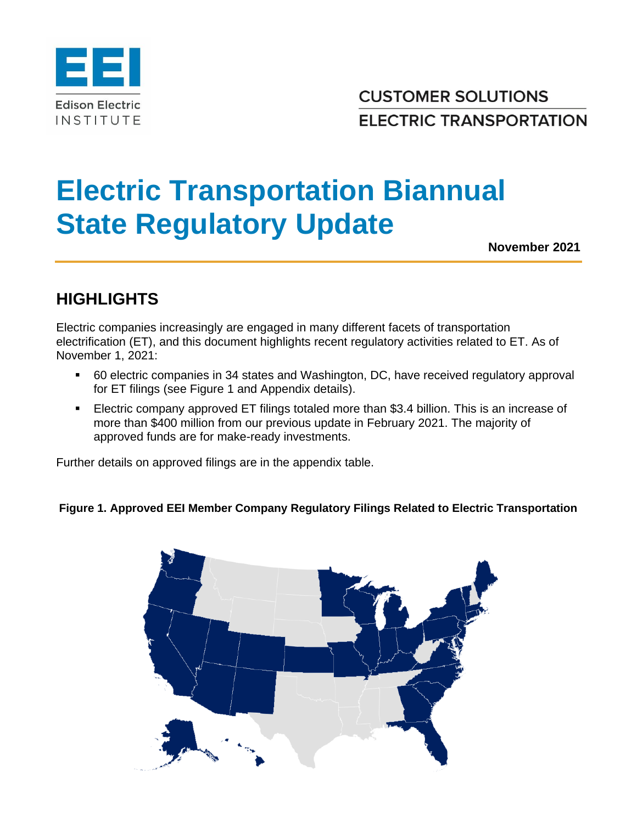

**CUSTOMER SOLUTIONS ELECTRIC TRANSPORTATION** 

## **Electric Transportation Biannual State Regulatory Update**

**November 2021**

## **HIGHLIGHTS**

Electric companies increasingly are engaged in many different facets of transportation electrification (ET), and this document highlights recent regulatory activities related to ET. As of November 1, 2021:

- 60 electric companies in 34 states and Washington, DC, have received regulatory approval for ET filings (see Figure 1 and Appendix details).
- **Electric company approved ET filings totaled more than \$3.4 billion. This is an increase of** more than \$400 million from our previous update in February 2021. The majority of approved funds are for make-ready investments.

Further details on approved filings are in the appendix table.

## **Figure 1. Approved EEI Member Company Regulatory Filings Related to Electric Transportation**

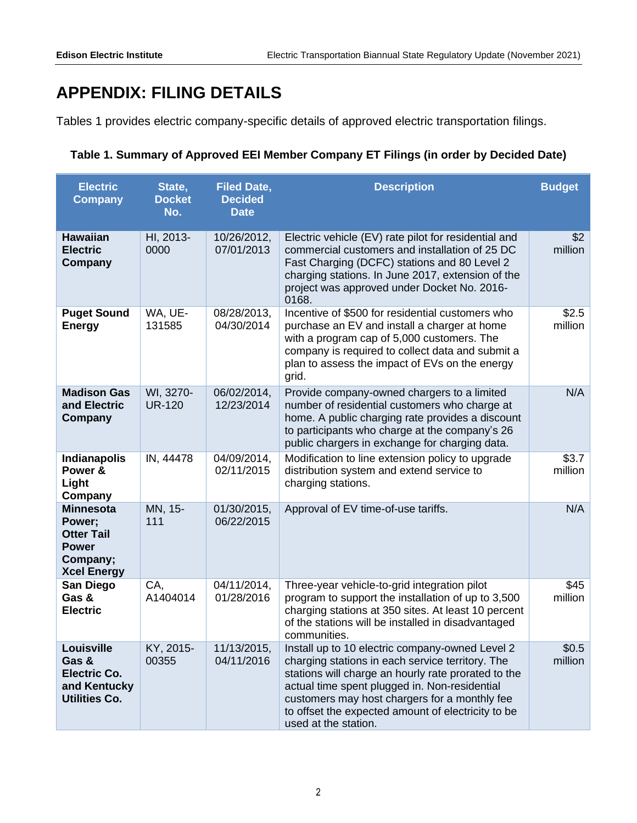## **APPENDIX: FILING DETAILS**

Tables 1 provides electric company-specific details of approved electric transportation filings.

| Table 1. Summary of Approved EEI Member Company ET Filings (in order by Decided Date) |  |  |
|---------------------------------------------------------------------------------------|--|--|
|---------------------------------------------------------------------------------------|--|--|

| <b>Electric</b><br><b>Company</b>                                                                 | State,<br><b>Docket</b><br>No. | <b>Filed Date,</b><br><b>Decided</b><br><b>Date</b> | <b>Description</b>                                                                                                                                                                                                                                                                                                                         | <b>Budget</b>    |
|---------------------------------------------------------------------------------------------------|--------------------------------|-----------------------------------------------------|--------------------------------------------------------------------------------------------------------------------------------------------------------------------------------------------------------------------------------------------------------------------------------------------------------------------------------------------|------------------|
| <b>Hawaiian</b><br><b>Electric</b><br>Company                                                     | HI, 2013-<br>0000              | 10/26/2012,<br>07/01/2013                           | Electric vehicle (EV) rate pilot for residential and<br>commercial customers and installation of 25 DC<br>Fast Charging (DCFC) stations and 80 Level 2<br>charging stations. In June 2017, extension of the<br>project was approved under Docket No. 2016-<br>0168.                                                                        | \$2<br>million   |
| <b>Puget Sound</b><br><b>Energy</b>                                                               | WA, UE-<br>131585              | 08/28/2013,<br>04/30/2014                           | Incentive of \$500 for residential customers who<br>purchase an EV and install a charger at home<br>with a program cap of 5,000 customers. The<br>company is required to collect data and submit a<br>plan to assess the impact of EVs on the energy<br>grid.                                                                              | \$2.5<br>million |
| <b>Madison Gas</b><br>and Electric<br>Company                                                     | WI, 3270-<br><b>UR-120</b>     | 06/02/2014,<br>12/23/2014                           | Provide company-owned chargers to a limited<br>number of residential customers who charge at<br>home. A public charging rate provides a discount<br>to participants who charge at the company's 26<br>public chargers in exchange for charging data.                                                                                       | N/A              |
| <b>Indianapolis</b><br>Power &<br>Light<br>Company                                                | IN, 44478                      | 04/09/2014,<br>02/11/2015                           | Modification to line extension policy to upgrade<br>distribution system and extend service to<br>charging stations.                                                                                                                                                                                                                        | \$3.7<br>million |
| <b>Minnesota</b><br>Power;<br><b>Otter Tail</b><br><b>Power</b><br>Company;<br><b>Xcel Energy</b> | MN, 15-<br>111                 | 01/30/2015,<br>06/22/2015                           | Approval of EV time-of-use tariffs.                                                                                                                                                                                                                                                                                                        | N/A              |
| San Diego<br>Gas &<br><b>Electric</b>                                                             | CA,<br>A1404014                | 04/11/2014,<br>01/28/2016                           | Three-year vehicle-to-grid integration pilot<br>program to support the installation of up to 3,500<br>charging stations at 350 sites. At least 10 percent<br>of the stations will be installed in disadvantaged<br>communities.                                                                                                            | \$45<br>million  |
| Louisville<br>Gas &<br><b>Electric Co.</b><br>and Kentucky<br><b>Utilities Co.</b>                | KY, 2015-<br>00355             | 11/13/2015,<br>04/11/2016                           | Install up to 10 electric company-owned Level 2<br>charging stations in each service territory. The<br>stations will charge an hourly rate prorated to the<br>actual time spent plugged in. Non-residential<br>customers may host chargers for a monthly fee<br>to offset the expected amount of electricity to be<br>used at the station. | \$0.5<br>million |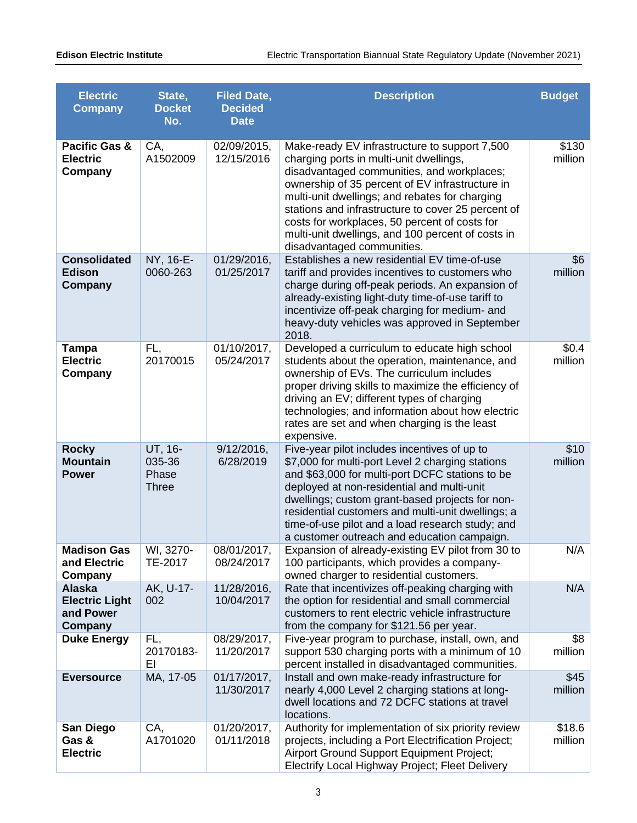| <b>Electric</b><br><b>Company</b>                              | State,<br><b>Docket</b><br>No.             | <b>Filed Date,</b><br><b>Decided</b><br><b>Date</b> | <b>Description</b>                                                                                                                                                                                                                                                                                                                                                                                                                    | <b>Budget</b>     |
|----------------------------------------------------------------|--------------------------------------------|-----------------------------------------------------|---------------------------------------------------------------------------------------------------------------------------------------------------------------------------------------------------------------------------------------------------------------------------------------------------------------------------------------------------------------------------------------------------------------------------------------|-------------------|
| <b>Pacific Gas &amp;</b><br><b>Electric</b><br>Company         | CA,<br>A1502009                            | 02/09/2015,<br>12/15/2016                           | Make-ready EV infrastructure to support 7,500<br>charging ports in multi-unit dwellings,<br>disadvantaged communities, and workplaces;<br>ownership of 35 percent of EV infrastructure in<br>multi-unit dwellings; and rebates for charging<br>stations and infrastructure to cover 25 percent of<br>costs for workplaces, 50 percent of costs for<br>multi-unit dwellings, and 100 percent of costs in<br>disadvantaged communities. | \$130<br>million  |
| <b>Consolidated</b><br><b>Edison</b><br>Company                | NY, 16-E-<br>0060-263                      | 01/29/2016,<br>01/25/2017                           | Establishes a new residential EV time-of-use<br>tariff and provides incentives to customers who<br>charge during off-peak periods. An expansion of<br>already-existing light-duty time-of-use tariff to<br>incentivize off-peak charging for medium- and<br>heavy-duty vehicles was approved in September<br>2018.                                                                                                                    | \$6<br>million    |
| <b>Tampa</b><br><b>Electric</b><br>Company                     | FL,<br>20170015                            | 01/10/2017,<br>05/24/2017                           | Developed a curriculum to educate high school<br>students about the operation, maintenance, and<br>ownership of EVs. The curriculum includes<br>proper driving skills to maximize the efficiency of<br>driving an EV; different types of charging<br>technologies; and information about how electric<br>rates are set and when charging is the least<br>expensive.                                                                   | \$0.4<br>million  |
| <b>Rocky</b><br><b>Mountain</b><br><b>Power</b>                | UT, 16-<br>035-36<br>Phase<br><b>Three</b> | $9/12/2016$ ,<br>6/28/2019                          | Five-year pilot includes incentives of up to<br>\$7,000 for multi-port Level 2 charging stations<br>and \$63,000 for multi-port DCFC stations to be<br>deployed at non-residential and multi-unit<br>dwellings; custom grant-based projects for non-<br>residential customers and multi-unit dwellings; a<br>time-of-use pilot and a load research study; and<br>a customer outreach and education campaign.                          | \$10<br>million   |
| <b>Madison Gas</b><br>and Electric<br>Company                  | WI, 3270-<br>TE-2017                       | 08/01/2017,<br>08/24/2017                           | Expansion of already-existing EV pilot from 30 to<br>100 participants, which provides a company-<br>owned charger to residential customers.                                                                                                                                                                                                                                                                                           | N/A               |
| <b>Alaska</b><br><b>Electric Light</b><br>and Power<br>Company | AK, U-17-<br>002                           | 11/28/2016,<br>10/04/2017                           | Rate that incentivizes off-peaking charging with<br>the option for residential and small commercial<br>customers to rent electric vehicle infrastructure<br>from the company for \$121.56 per year.                                                                                                                                                                                                                                   | N/A               |
| <b>Duke Energy</b>                                             | FL,<br>20170183-<br>ΕI                     | 08/29/2017,<br>11/20/2017                           | Five-year program to purchase, install, own, and<br>support 530 charging ports with a minimum of 10<br>percent installed in disadvantaged communities.                                                                                                                                                                                                                                                                                | \$8<br>million    |
| <b>Eversource</b>                                              | MA, 17-05                                  | 01/17/2017,<br>11/30/2017                           | Install and own make-ready infrastructure for<br>nearly 4,000 Level 2 charging stations at long-<br>dwell locations and 72 DCFC stations at travel<br>locations.                                                                                                                                                                                                                                                                      | \$45<br>million   |
| San Diego<br>Gas &<br><b>Electric</b>                          | CA,<br>A1701020                            | 01/20/2017,<br>01/11/2018                           | Authority for implementation of six priority review<br>projects, including a Port Electrification Project;<br>Airport Ground Support Equipment Project;<br>Electrify Local Highway Project; Fleet Delivery                                                                                                                                                                                                                            | \$18.6<br>million |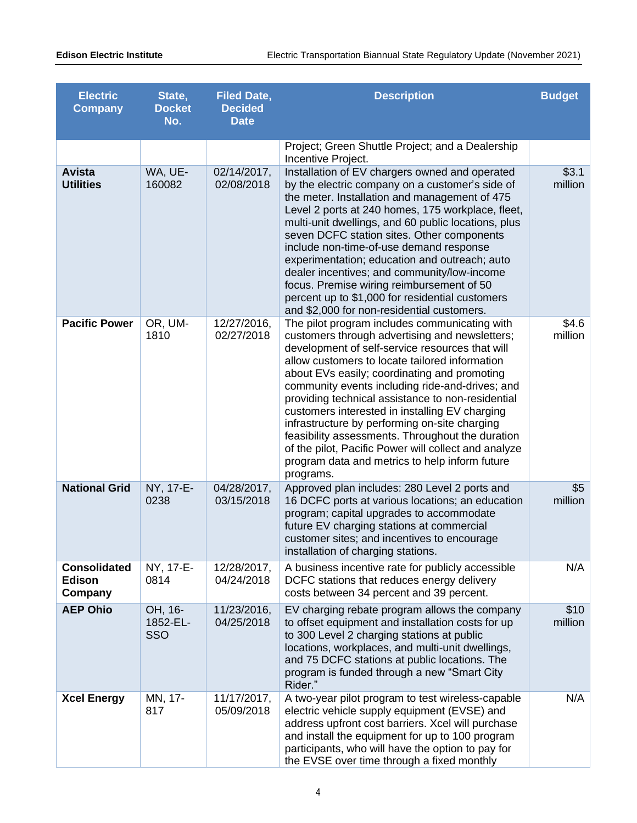| <b>Electric</b><br><b>Company</b>               | State,<br><b>Docket</b><br>No. | <b>Filed Date,</b><br><b>Decided</b><br><b>Date</b> | <b>Description</b>                                                                                                                                                                                                                                                                                                                                                                                                                                                                                                                                                                                                                         | <b>Budget</b>    |
|-------------------------------------------------|--------------------------------|-----------------------------------------------------|--------------------------------------------------------------------------------------------------------------------------------------------------------------------------------------------------------------------------------------------------------------------------------------------------------------------------------------------------------------------------------------------------------------------------------------------------------------------------------------------------------------------------------------------------------------------------------------------------------------------------------------------|------------------|
|                                                 |                                |                                                     | Project; Green Shuttle Project; and a Dealership<br>Incentive Project.                                                                                                                                                                                                                                                                                                                                                                                                                                                                                                                                                                     |                  |
| <b>Avista</b><br><b>Utilities</b>               | WA, UE-<br>160082              | 02/14/2017,<br>02/08/2018                           | Installation of EV chargers owned and operated<br>by the electric company on a customer's side of<br>the meter. Installation and management of 475<br>Level 2 ports at 240 homes, 175 workplace, fleet,<br>multi-unit dwellings, and 60 public locations, plus<br>seven DCFC station sites. Other components<br>include non-time-of-use demand response<br>experimentation; education and outreach; auto<br>dealer incentives; and community/low-income<br>focus. Premise wiring reimbursement of 50<br>percent up to \$1,000 for residential customers<br>and \$2,000 for non-residential customers.                                      | \$3.1<br>million |
| <b>Pacific Power</b>                            | OR, UM-<br>1810                | 12/27/2016,<br>02/27/2018                           | The pilot program includes communicating with<br>customers through advertising and newsletters;<br>development of self-service resources that will<br>allow customers to locate tailored information<br>about EVs easily; coordinating and promoting<br>community events including ride-and-drives; and<br>providing technical assistance to non-residential<br>customers interested in installing EV charging<br>infrastructure by performing on-site charging<br>feasibility assessments. Throughout the duration<br>of the pilot, Pacific Power will collect and analyze<br>program data and metrics to help inform future<br>programs. | \$4.6<br>million |
| <b>National Grid</b>                            | NY, 17-E-<br>0238              | 04/28/2017,<br>03/15/2018                           | Approved plan includes: 280 Level 2 ports and<br>16 DCFC ports at various locations; an education<br>program; capital upgrades to accommodate<br>future EV charging stations at commercial<br>customer sites; and incentives to encourage<br>installation of charging stations.                                                                                                                                                                                                                                                                                                                                                            | \$5<br>million   |
| <b>Consolidated</b><br><b>Edison</b><br>Company | NY, 17-E-<br>0814              | 12/28/2017,<br>04/24/2018                           | A business incentive rate for publicly accessible<br>DCFC stations that reduces energy delivery<br>costs between 34 percent and 39 percent.                                                                                                                                                                                                                                                                                                                                                                                                                                                                                                | N/A              |
| <b>AEP Ohio</b>                                 | OH, 16-<br>1852-EL-<br>SSO     | 11/23/2016,<br>04/25/2018                           | EV charging rebate program allows the company<br>to offset equipment and installation costs for up<br>to 300 Level 2 charging stations at public<br>locations, workplaces, and multi-unit dwellings,<br>and 75 DCFC stations at public locations. The<br>program is funded through a new "Smart City<br>Rider."                                                                                                                                                                                                                                                                                                                            | \$10<br>million  |
| <b>Xcel Energy</b>                              | MN, 17-<br>817                 | 11/17/2017,<br>05/09/2018                           | A two-year pilot program to test wireless-capable<br>electric vehicle supply equipment (EVSE) and<br>address upfront cost barriers. Xcel will purchase<br>and install the equipment for up to 100 program<br>participants, who will have the option to pay for<br>the EVSE over time through a fixed monthly                                                                                                                                                                                                                                                                                                                               | N/A              |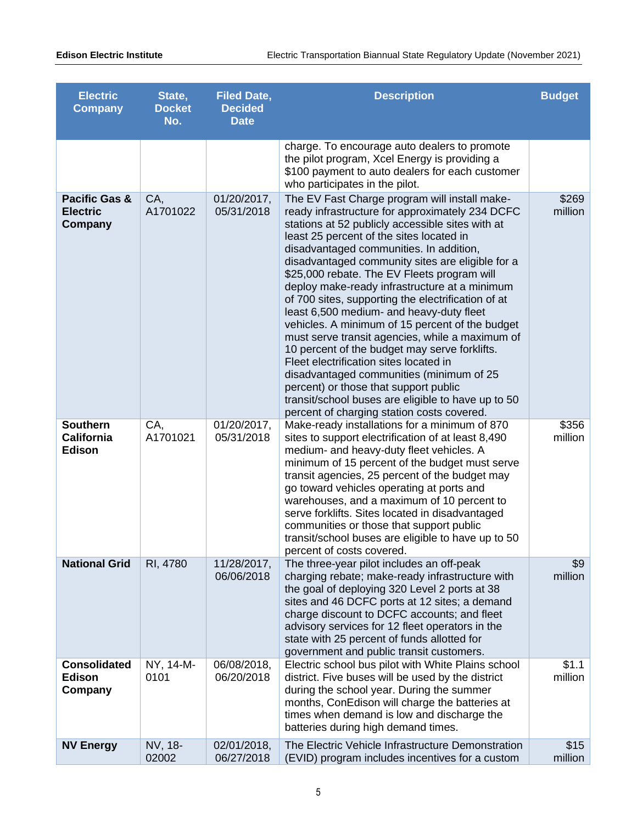| <b>Electric</b><br><b>Company</b>                      | State,<br><b>Docket</b><br>No. | <b>Filed Date,</b><br><b>Decided</b><br><b>Date</b> | <b>Description</b>                                                                                                                                                                                                                                                                                                                                                                                                                                                                                                                                                                                                                                                                                                                                                                                                                                                                          | <b>Budget</b>    |
|--------------------------------------------------------|--------------------------------|-----------------------------------------------------|---------------------------------------------------------------------------------------------------------------------------------------------------------------------------------------------------------------------------------------------------------------------------------------------------------------------------------------------------------------------------------------------------------------------------------------------------------------------------------------------------------------------------------------------------------------------------------------------------------------------------------------------------------------------------------------------------------------------------------------------------------------------------------------------------------------------------------------------------------------------------------------------|------------------|
|                                                        |                                |                                                     | charge. To encourage auto dealers to promote<br>the pilot program, Xcel Energy is providing a<br>\$100 payment to auto dealers for each customer<br>who participates in the pilot.                                                                                                                                                                                                                                                                                                                                                                                                                                                                                                                                                                                                                                                                                                          |                  |
| <b>Pacific Gas &amp;</b><br><b>Electric</b><br>Company | CA,<br>A1701022                | 01/20/2017,<br>05/31/2018                           | The EV Fast Charge program will install make-<br>ready infrastructure for approximately 234 DCFC<br>stations at 52 publicly accessible sites with at<br>least 25 percent of the sites located in<br>disadvantaged communities. In addition,<br>disadvantaged community sites are eligible for a<br>\$25,000 rebate. The EV Fleets program will<br>deploy make-ready infrastructure at a minimum<br>of 700 sites, supporting the electrification of at<br>least 6,500 medium- and heavy-duty fleet<br>vehicles. A minimum of 15 percent of the budget<br>must serve transit agencies, while a maximum of<br>10 percent of the budget may serve forklifts.<br>Fleet electrification sites located in<br>disadvantaged communities (minimum of 25<br>percent) or those that support public<br>transit/school buses are eligible to have up to 50<br>percent of charging station costs covered. | \$269<br>million |
| <b>Southern</b><br><b>California</b><br><b>Edison</b>  | CA,<br>A1701021                | 01/20/2017,<br>05/31/2018                           | Make-ready installations for a minimum of 870<br>sites to support electrification of at least 8,490<br>medium- and heavy-duty fleet vehicles. A<br>minimum of 15 percent of the budget must serve<br>transit agencies, 25 percent of the budget may<br>go toward vehicles operating at ports and<br>warehouses, and a maximum of 10 percent to<br>serve forklifts. Sites located in disadvantaged<br>communities or those that support public<br>transit/school buses are eligible to have up to 50<br>percent of costs covered.                                                                                                                                                                                                                                                                                                                                                            | \$356<br>million |
| <b>National Grid</b>                                   | RI, 4780                       | 11/28/2017,<br>06/06/2018                           | The three-year pilot includes an off-peak<br>charging rebate; make-ready infrastructure with<br>the goal of deploying 320 Level 2 ports at 38<br>sites and 46 DCFC ports at 12 sites; a demand<br>charge discount to DCFC accounts; and fleet<br>advisory services for 12 fleet operators in the<br>state with 25 percent of funds allotted for<br>government and public transit customers.                                                                                                                                                                                                                                                                                                                                                                                                                                                                                                 | \$9<br>million   |
| <b>Consolidated</b><br><b>Edison</b><br>Company        | NY, 14-M-<br>0101              | 06/08/2018,<br>06/20/2018                           | Electric school bus pilot with White Plains school<br>district. Five buses will be used by the district<br>during the school year. During the summer<br>months, ConEdison will charge the batteries at<br>times when demand is low and discharge the<br>batteries during high demand times.                                                                                                                                                                                                                                                                                                                                                                                                                                                                                                                                                                                                 | \$1.1<br>million |
| <b>NV Energy</b>                                       | NV, 18-<br>02002               | 02/01/2018,<br>06/27/2018                           | The Electric Vehicle Infrastructure Demonstration<br>(EVID) program includes incentives for a custom                                                                                                                                                                                                                                                                                                                                                                                                                                                                                                                                                                                                                                                                                                                                                                                        | \$15<br>million  |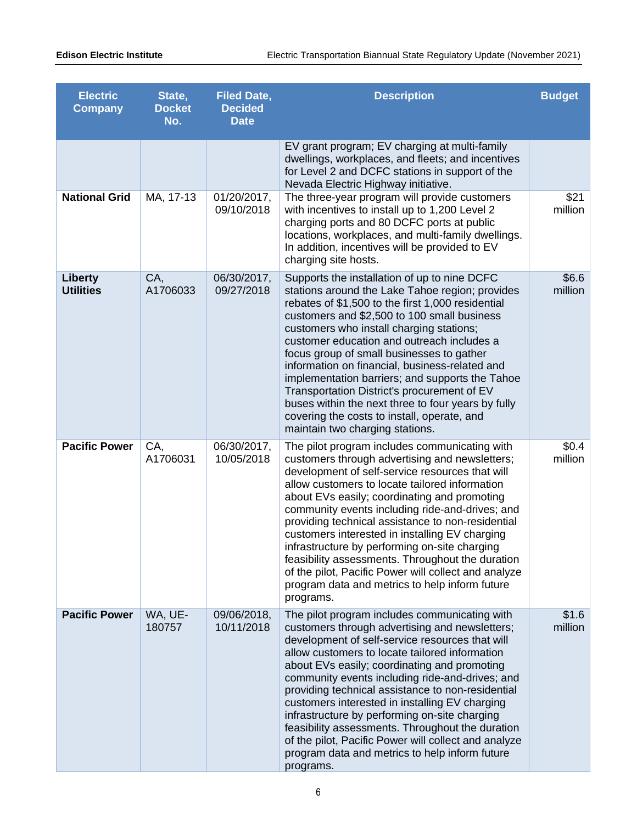| <b>Electric</b><br><b>Company</b>  | State,<br><b>Docket</b><br>No. | <b>Filed Date,</b><br><b>Decided</b><br><b>Date</b> | <b>Description</b>                                                                                                                                                                                                                                                                                                                                                                                                                                                                                                                                                                                                                         | <b>Budget</b>    |
|------------------------------------|--------------------------------|-----------------------------------------------------|--------------------------------------------------------------------------------------------------------------------------------------------------------------------------------------------------------------------------------------------------------------------------------------------------------------------------------------------------------------------------------------------------------------------------------------------------------------------------------------------------------------------------------------------------------------------------------------------------------------------------------------------|------------------|
|                                    |                                |                                                     | EV grant program; EV charging at multi-family<br>dwellings, workplaces, and fleets; and incentives<br>for Level 2 and DCFC stations in support of the<br>Nevada Electric Highway initiative.                                                                                                                                                                                                                                                                                                                                                                                                                                               |                  |
| <b>National Grid</b>               | MA, 17-13                      | 01/20/2017,<br>09/10/2018                           | The three-year program will provide customers<br>with incentives to install up to 1,200 Level 2<br>charging ports and 80 DCFC ports at public<br>locations, workplaces, and multi-family dwellings.<br>In addition, incentives will be provided to EV<br>charging site hosts.                                                                                                                                                                                                                                                                                                                                                              | \$21<br>million  |
| <b>Liberty</b><br><b>Utilities</b> | CA,<br>A1706033                | 06/30/2017,<br>09/27/2018                           | Supports the installation of up to nine DCFC<br>stations around the Lake Tahoe region; provides<br>rebates of \$1,500 to the first 1,000 residential<br>customers and \$2,500 to 100 small business<br>customers who install charging stations;<br>customer education and outreach includes a<br>focus group of small businesses to gather<br>information on financial, business-related and<br>implementation barriers; and supports the Tahoe<br>Transportation District's procurement of EV<br>buses within the next three to four years by fully<br>covering the costs to install, operate, and<br>maintain two charging stations.     | \$6.6<br>million |
| <b>Pacific Power</b>               | CA,<br>A1706031                | 06/30/2017,<br>10/05/2018                           | The pilot program includes communicating with<br>customers through advertising and newsletters;<br>development of self-service resources that will<br>allow customers to locate tailored information<br>about EVs easily; coordinating and promoting<br>community events including ride-and-drives; and<br>providing technical assistance to non-residential<br>customers interested in installing EV charging<br>infrastructure by performing on-site charging<br>feasibility assessments. Throughout the duration<br>of the pilot, Pacific Power will collect and analyze<br>program data and metrics to help inform future<br>programs. | \$0.4<br>million |
| <b>Pacific Power</b>               | WA, UE-<br>180757              | 09/06/2018,<br>10/11/2018                           | The pilot program includes communicating with<br>customers through advertising and newsletters;<br>development of self-service resources that will<br>allow customers to locate tailored information<br>about EVs easily; coordinating and promoting<br>community events including ride-and-drives; and<br>providing technical assistance to non-residential<br>customers interested in installing EV charging<br>infrastructure by performing on-site charging<br>feasibility assessments. Throughout the duration<br>of the pilot, Pacific Power will collect and analyze<br>program data and metrics to help inform future<br>programs. | \$1.6<br>million |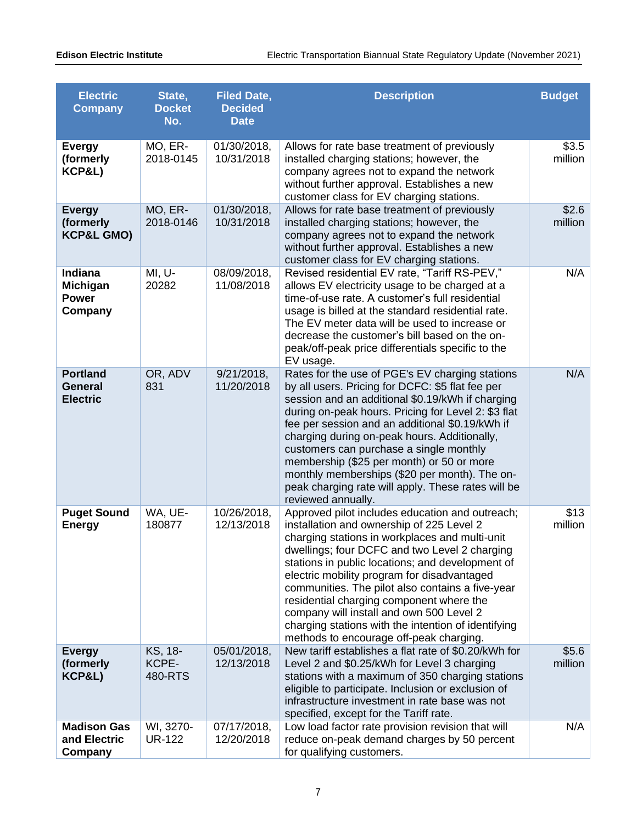| <b>Electric</b><br><b>Company</b>                     | State,<br><b>Docket</b><br>No. | <b>Filed Date,</b><br><b>Decided</b><br><b>Date</b> | <b>Description</b>                                                                                                                                                                                                                                                                                                                                                                                                                                                                                                                               | <b>Budget</b>    |
|-------------------------------------------------------|--------------------------------|-----------------------------------------------------|--------------------------------------------------------------------------------------------------------------------------------------------------------------------------------------------------------------------------------------------------------------------------------------------------------------------------------------------------------------------------------------------------------------------------------------------------------------------------------------------------------------------------------------------------|------------------|
| <b>Evergy</b><br>(formerly<br>KCP&L)                  | MO, ER-<br>2018-0145           | 01/30/2018,<br>10/31/2018                           | Allows for rate base treatment of previously<br>installed charging stations; however, the<br>company agrees not to expand the network<br>without further approval. Establishes a new<br>customer class for EV charging stations.                                                                                                                                                                                                                                                                                                                 | \$3.5<br>million |
| <b>Evergy</b><br>(formerly<br><b>KCP&amp;L GMO)</b>   | MO, ER-<br>2018-0146           | 01/30/2018,<br>10/31/2018                           | Allows for rate base treatment of previously<br>installed charging stations; however, the<br>company agrees not to expand the network<br>without further approval. Establishes a new<br>customer class for EV charging stations.                                                                                                                                                                                                                                                                                                                 | \$2.6<br>million |
| Indiana<br><b>Michigan</b><br><b>Power</b><br>Company | MI, U-<br>20282                | 08/09/2018,<br>11/08/2018                           | Revised residential EV rate, "Tariff RS-PEV,"<br>allows EV electricity usage to be charged at a<br>time-of-use rate. A customer's full residential<br>usage is billed at the standard residential rate.<br>The EV meter data will be used to increase or<br>decrease the customer's bill based on the on-<br>peak/off-peak price differentials specific to the<br>EV usage.                                                                                                                                                                      | N/A              |
| <b>Portland</b><br><b>General</b><br><b>Electric</b>  | OR, ADV<br>831                 | 9/21/2018,<br>11/20/2018                            | Rates for the use of PGE's EV charging stations<br>by all users. Pricing for DCFC: \$5 flat fee per<br>session and an additional \$0.19/kWh if charging<br>during on-peak hours. Pricing for Level 2: \$3 flat<br>fee per session and an additional \$0.19/kWh if<br>charging during on-peak hours. Additionally,<br>customers can purchase a single monthly<br>membership (\$25 per month) or 50 or more<br>monthly memberships (\$20 per month). The on-<br>peak charging rate will apply. These rates will be<br>reviewed annually.           | N/A              |
| <b>Puget Sound</b><br><b>Energy</b>                   | WA, UE-<br>180877              | 10/26/2018,<br>12/13/2018                           | Approved pilot includes education and outreach;<br>installation and ownership of 225 Level 2<br>charging stations in workplaces and multi-unit<br>dwellings; four DCFC and two Level 2 charging<br>stations in public locations; and development of<br>electric mobility program for disadvantaged<br>communities. The pilot also contains a five-year<br>residential charging component where the<br>company will install and own 500 Level 2<br>charging stations with the intention of identifying<br>methods to encourage off-peak charging. | \$13<br>million  |
| <b>Evergy</b><br>(formerly<br>KCP&L)                  | KS, 18-<br>KCPE-<br>480-RTS    | 05/01/2018,<br>12/13/2018                           | New tariff establishes a flat rate of \$0.20/kWh for<br>Level 2 and \$0.25/kWh for Level 3 charging<br>stations with a maximum of 350 charging stations<br>eligible to participate. Inclusion or exclusion of<br>infrastructure investment in rate base was not<br>specified, except for the Tariff rate.                                                                                                                                                                                                                                        | \$5.6<br>million |
| <b>Madison Gas</b><br>and Electric<br>Company         | WI, 3270-<br><b>UR-122</b>     | 07/17/2018,<br>12/20/2018                           | Low load factor rate provision revision that will<br>reduce on-peak demand charges by 50 percent<br>for qualifying customers.                                                                                                                                                                                                                                                                                                                                                                                                                    | N/A              |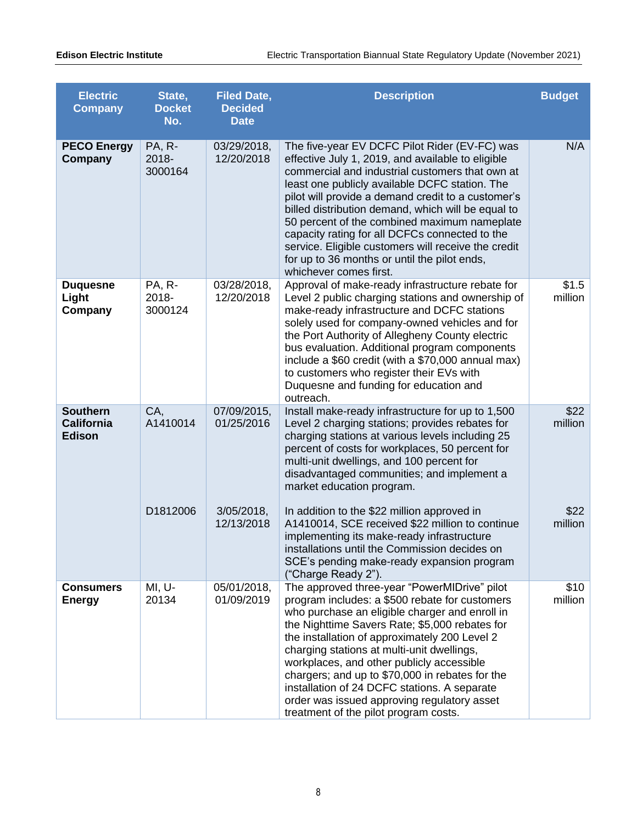| <b>Electric</b><br><b>Company</b>                     | State,<br><b>Docket</b><br>No.    | <b>Filed Date,</b><br><b>Decided</b><br><b>Date</b> | <b>Description</b>                                                                                                                                                                                                                                                                                                                                                                                                                                                                                                                                     | <b>Budget</b>    |
|-------------------------------------------------------|-----------------------------------|-----------------------------------------------------|--------------------------------------------------------------------------------------------------------------------------------------------------------------------------------------------------------------------------------------------------------------------------------------------------------------------------------------------------------------------------------------------------------------------------------------------------------------------------------------------------------------------------------------------------------|------------------|
| <b>PECO Energy</b><br>Company                         | <b>PA, R-</b><br>2018-<br>3000164 | 03/29/2018,<br>12/20/2018                           | The five-year EV DCFC Pilot Rider (EV-FC) was<br>effective July 1, 2019, and available to eligible<br>commercial and industrial customers that own at<br>least one publicly available DCFC station. The<br>pilot will provide a demand credit to a customer's<br>billed distribution demand, which will be equal to<br>50 percent of the combined maximum nameplate<br>capacity rating for all DCFCs connected to the<br>service. Eligible customers will receive the credit<br>for up to 36 months or until the pilot ends,<br>whichever comes first. | N/A              |
| <b>Duquesne</b><br>Light<br>Company                   | PA, R-<br>2018-<br>3000124        | 03/28/2018,<br>12/20/2018                           | Approval of make-ready infrastructure rebate for<br>Level 2 public charging stations and ownership of<br>make-ready infrastructure and DCFC stations<br>solely used for company-owned vehicles and for<br>the Port Authority of Allegheny County electric<br>bus evaluation. Additional program components<br>include a \$60 credit (with a \$70,000 annual max)<br>to customers who register their EVs with<br>Duquesne and funding for education and<br>outreach.                                                                                    | \$1.5<br>million |
| <b>Southern</b><br><b>California</b><br><b>Edison</b> | CA,<br>A1410014                   | 07/09/2015,<br>01/25/2016                           | Install make-ready infrastructure for up to 1,500<br>Level 2 charging stations; provides rebates for<br>charging stations at various levels including 25<br>percent of costs for workplaces, 50 percent for<br>multi-unit dwellings, and 100 percent for<br>disadvantaged communities; and implement a<br>market education program.                                                                                                                                                                                                                    | \$22<br>million  |
|                                                       | D1812006                          | $3/05/2018$ ,<br>12/13/2018                         | In addition to the \$22 million approved in<br>A1410014, SCE received \$22 million to continue<br>implementing its make-ready infrastructure<br>installations until the Commission decides on<br>SCE's pending make-ready expansion program<br>("Charge Ready 2").                                                                                                                                                                                                                                                                                     | \$22<br>million  |
| <b>Consumers</b><br><b>Energy</b>                     | MI, U-<br>20134                   | 05/01/2018,<br>01/09/2019                           | The approved three-year "PowerMIDrive" pilot<br>program includes: a \$500 rebate for customers<br>who purchase an eligible charger and enroll in<br>the Nighttime Savers Rate; \$5,000 rebates for<br>the installation of approximately 200 Level 2<br>charging stations at multi-unit dwellings,<br>workplaces, and other publicly accessible<br>chargers; and up to \$70,000 in rebates for the<br>installation of 24 DCFC stations. A separate<br>order was issued approving regulatory asset<br>treatment of the pilot program costs.              | \$10<br>million  |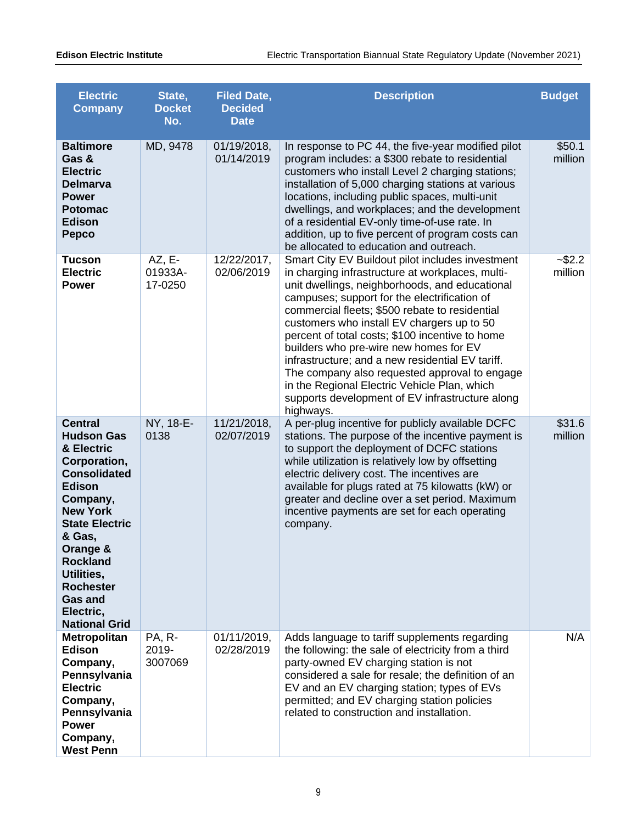| <b>Electric</b><br><b>Company</b>                                                                                                                                                                                                                                                                   | State,<br><b>Docket</b><br>No. | <b>Filed Date,</b><br><b>Decided</b><br><b>Date</b> | <b>Description</b>                                                                                                                                                                                                                                                                                                                                                                                                                                                                                                                                                                                                       | <b>Budget</b>        |
|-----------------------------------------------------------------------------------------------------------------------------------------------------------------------------------------------------------------------------------------------------------------------------------------------------|--------------------------------|-----------------------------------------------------|--------------------------------------------------------------------------------------------------------------------------------------------------------------------------------------------------------------------------------------------------------------------------------------------------------------------------------------------------------------------------------------------------------------------------------------------------------------------------------------------------------------------------------------------------------------------------------------------------------------------------|----------------------|
| <b>Baltimore</b><br>Gas &<br><b>Electric</b><br><b>Delmarva</b><br><b>Power</b><br><b>Potomac</b><br><b>Edison</b><br><b>Pepco</b>                                                                                                                                                                  | MD, 9478                       | 01/19/2018,<br>01/14/2019                           | In response to PC 44, the five-year modified pilot<br>program includes: a \$300 rebate to residential<br>customers who install Level 2 charging stations;<br>installation of 5,000 charging stations at various<br>locations, including public spaces, multi-unit<br>dwellings, and workplaces; and the development<br>of a residential EV-only time-of-use rate. In<br>addition, up to five percent of program costs can<br>be allocated to education and outreach.                                                                                                                                                     | \$50.1<br>million    |
| <b>Tucson</b><br><b>Electric</b><br><b>Power</b>                                                                                                                                                                                                                                                    | $AZ, E-$<br>01933A-<br>17-0250 | 12/22/2017,<br>02/06/2019                           | Smart City EV Buildout pilot includes investment<br>in charging infrastructure at workplaces, multi-<br>unit dwellings, neighborhoods, and educational<br>campuses; support for the electrification of<br>commercial fleets; \$500 rebate to residential<br>customers who install EV chargers up to 50<br>percent of total costs; \$100 incentive to home<br>builders who pre-wire new homes for EV<br>infrastructure; and a new residential EV tariff.<br>The company also requested approval to engage<br>in the Regional Electric Vehicle Plan, which<br>supports development of EV infrastructure along<br>highways. | $-$ \$2.2<br>million |
| <b>Central</b><br><b>Hudson Gas</b><br>& Electric<br>Corporation,<br><b>Consolidated</b><br><b>Edison</b><br>Company,<br><b>New York</b><br><b>State Electric</b><br>& Gas,<br>Orange &<br><b>Rockland</b><br>Utilities,<br><b>Rochester</b><br><b>Gas and</b><br>Electric,<br><b>National Grid</b> | NY, 18-E-<br>0138              | 11/21/2018,<br>02/07/2019                           | A per-plug incentive for publicly available DCFC<br>stations. The purpose of the incentive payment is<br>to support the deployment of DCFC stations<br>while utilization is relatively low by offsetting<br>electric delivery cost. The incentives are<br>available for plugs rated at 75 kilowatts (kW) or<br>greater and decline over a set period. Maximum<br>incentive payments are set for each operating<br>company.                                                                                                                                                                                               | \$31.6<br>million    |
| <b>Metropolitan</b><br>Edison<br>Company,<br>Pennsylvania<br><b>Electric</b><br>Company,<br>Pennsylvania<br><b>Power</b><br>Company,<br><b>West Penn</b>                                                                                                                                            | PA, R-<br>2019-<br>3007069     | 01/11/2019,<br>02/28/2019                           | Adds language to tariff supplements regarding<br>the following: the sale of electricity from a third<br>party-owned EV charging station is not<br>considered a sale for resale; the definition of an<br>EV and an EV charging station; types of EVs<br>permitted; and EV charging station policies<br>related to construction and installation.                                                                                                                                                                                                                                                                          | N/A                  |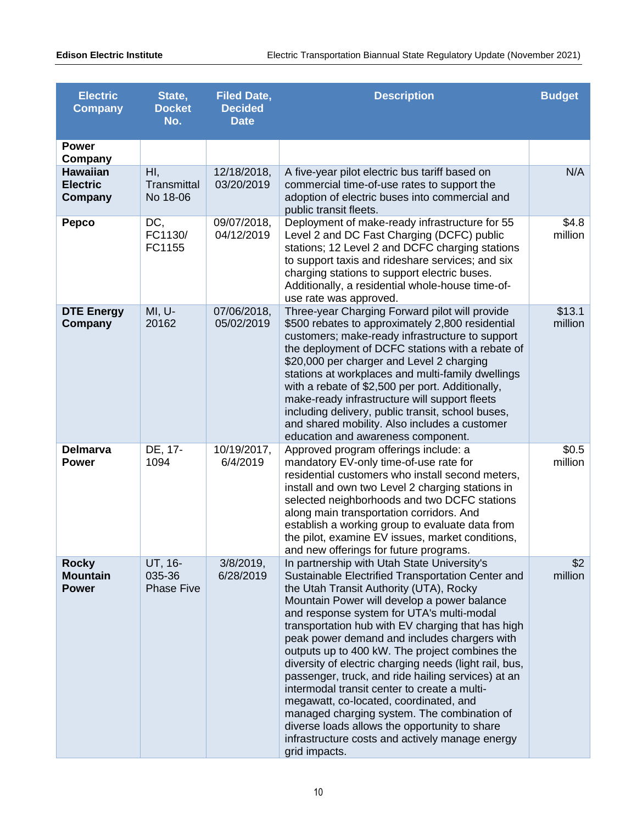| <b>Electric</b><br><b>Company</b>               | State,<br><b>Docket</b><br>No.            | <b>Filed Date,</b><br><b>Decided</b><br><b>Date</b> | <b>Description</b>                                                                                                                                                                                                                                                                                                                                                                                                                                                                                                                                                                                                                                                                                                                                                           | <b>Budget</b>     |
|-------------------------------------------------|-------------------------------------------|-----------------------------------------------------|------------------------------------------------------------------------------------------------------------------------------------------------------------------------------------------------------------------------------------------------------------------------------------------------------------------------------------------------------------------------------------------------------------------------------------------------------------------------------------------------------------------------------------------------------------------------------------------------------------------------------------------------------------------------------------------------------------------------------------------------------------------------------|-------------------|
| <b>Power</b><br>Company                         |                                           |                                                     |                                                                                                                                                                                                                                                                                                                                                                                                                                                                                                                                                                                                                                                                                                                                                                              |                   |
| <b>Hawaiian</b><br><b>Electric</b><br>Company   | H <sub>1</sub><br>Transmittal<br>No 18-06 | 12/18/2018,<br>03/20/2019                           | A five-year pilot electric bus tariff based on<br>commercial time-of-use rates to support the<br>adoption of electric buses into commercial and<br>public transit fleets.                                                                                                                                                                                                                                                                                                                                                                                                                                                                                                                                                                                                    | N/A               |
| <b>Pepco</b>                                    | DC,<br>FC1130/<br>FC1155                  | 09/07/2018,<br>04/12/2019                           | Deployment of make-ready infrastructure for 55<br>Level 2 and DC Fast Charging (DCFC) public<br>stations; 12 Level 2 and DCFC charging stations<br>to support taxis and rideshare services; and six<br>charging stations to support electric buses.<br>Additionally, a residential whole-house time-of-<br>use rate was approved.                                                                                                                                                                                                                                                                                                                                                                                                                                            | \$4.8<br>million  |
| <b>DTE Energy</b><br>Company                    | MI, U-<br>20162                           | 07/06/2018,<br>05/02/2019                           | Three-year Charging Forward pilot will provide<br>\$500 rebates to approximately 2,800 residential<br>customers; make-ready infrastructure to support<br>the deployment of DCFC stations with a rebate of<br>\$20,000 per charger and Level 2 charging<br>stations at workplaces and multi-family dwellings<br>with a rebate of \$2,500 per port. Additionally,<br>make-ready infrastructure will support fleets<br>including delivery, public transit, school buses,<br>and shared mobility. Also includes a customer<br>education and awareness component.                                                                                                                                                                                                                 | \$13.1<br>million |
| <b>Delmarva</b><br><b>Power</b>                 | DE, 17-<br>1094                           | 10/19/2017,<br>6/4/2019                             | Approved program offerings include: a<br>mandatory EV-only time-of-use rate for<br>residential customers who install second meters,<br>install and own two Level 2 charging stations in<br>selected neighborhoods and two DCFC stations<br>along main transportation corridors. And<br>establish a working group to evaluate data from<br>the pilot, examine EV issues, market conditions,<br>and new offerings for future programs.                                                                                                                                                                                                                                                                                                                                         | \$0.5<br>million  |
| <b>Rocky</b><br><b>Mountain</b><br><b>Power</b> | UT, 16-<br>035-36<br><b>Phase Five</b>    | $3/8/2019$ ,<br>6/28/2019                           | In partnership with Utah State University's<br>Sustainable Electrified Transportation Center and<br>the Utah Transit Authority (UTA), Rocky<br>Mountain Power will develop a power balance<br>and response system for UTA's multi-modal<br>transportation hub with EV charging that has high<br>peak power demand and includes chargers with<br>outputs up to 400 kW. The project combines the<br>diversity of electric charging needs (light rail, bus,<br>passenger, truck, and ride hailing services) at an<br>intermodal transit center to create a multi-<br>megawatt, co-located, coordinated, and<br>managed charging system. The combination of<br>diverse loads allows the opportunity to share<br>infrastructure costs and actively manage energy<br>grid impacts. | \$2<br>million    |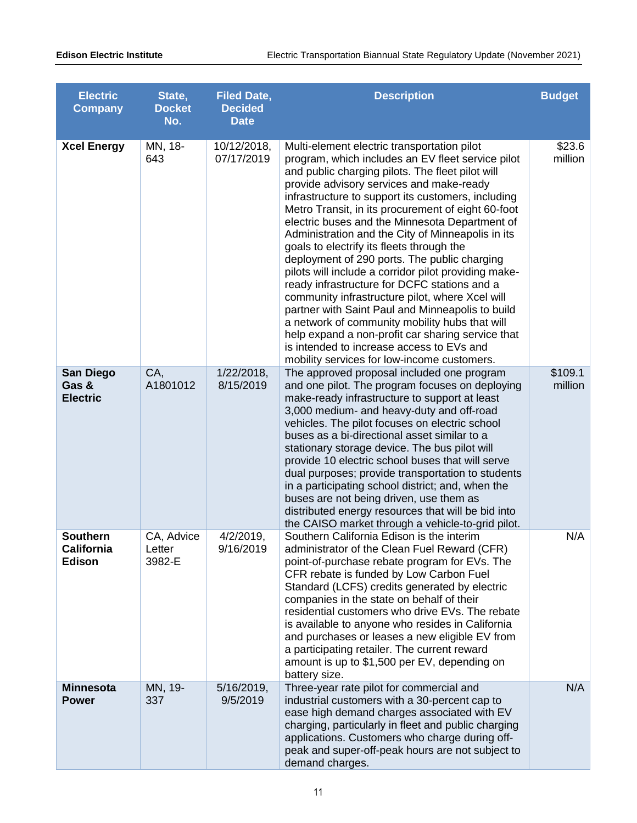| <b>Electric</b><br><b>Company</b>              | State,<br><b>Docket</b><br>No. | <b>Filed Date,</b><br><b>Decided</b><br><b>Date</b> | <b>Description</b>                                                                                                                                                                                                                                                                                                                                                                                                                                                                                                                                                                                                                                                                                                                                                                                                                                                                                                                 | <b>Budget</b>      |
|------------------------------------------------|--------------------------------|-----------------------------------------------------|------------------------------------------------------------------------------------------------------------------------------------------------------------------------------------------------------------------------------------------------------------------------------------------------------------------------------------------------------------------------------------------------------------------------------------------------------------------------------------------------------------------------------------------------------------------------------------------------------------------------------------------------------------------------------------------------------------------------------------------------------------------------------------------------------------------------------------------------------------------------------------------------------------------------------------|--------------------|
| <b>Xcel Energy</b>                             | MN, 18-<br>643                 | 10/12/2018,<br>07/17/2019                           | Multi-element electric transportation pilot<br>program, which includes an EV fleet service pilot<br>and public charging pilots. The fleet pilot will<br>provide advisory services and make-ready<br>infrastructure to support its customers, including<br>Metro Transit, in its procurement of eight 60-foot<br>electric buses and the Minnesota Department of<br>Administration and the City of Minneapolis in its<br>goals to electrify its fleets through the<br>deployment of 290 ports. The public charging<br>pilots will include a corridor pilot providing make-<br>ready infrastructure for DCFC stations and a<br>community infrastructure pilot, where Xcel will<br>partner with Saint Paul and Minneapolis to build<br>a network of community mobility hubs that will<br>help expand a non-profit car sharing service that<br>is intended to increase access to EVs and<br>mobility services for low-income customers. | \$23.6<br>million  |
| <b>San Diego</b><br>Gas &<br><b>Electric</b>   | CA,<br>A1801012                | 1/22/2018,<br>8/15/2019                             | The approved proposal included one program<br>and one pilot. The program focuses on deploying<br>make-ready infrastructure to support at least<br>3,000 medium- and heavy-duty and off-road<br>vehicles. The pilot focuses on electric school<br>buses as a bi-directional asset similar to a<br>stationary storage device. The bus pilot will<br>provide 10 electric school buses that will serve<br>dual purposes; provide transportation to students<br>in a participating school district; and, when the<br>buses are not being driven, use them as<br>distributed energy resources that will be bid into<br>the CAISO market through a vehicle-to-grid pilot.                                                                                                                                                                                                                                                                 | \$109.1<br>million |
| <b>Southern</b><br>California<br><b>Edison</b> | CA, Advice<br>Letter<br>3982-E | $4/2/2019$ ,<br>9/16/2019                           | Southern California Edison is the interim<br>administrator of the Clean Fuel Reward (CFR)<br>point-of-purchase rebate program for EVs. The<br>CFR rebate is funded by Low Carbon Fuel<br>Standard (LCFS) credits generated by electric<br>companies in the state on behalf of their<br>residential customers who drive EVs. The rebate<br>is available to anyone who resides in California<br>and purchases or leases a new eligible EV from<br>a participating retailer. The current reward<br>amount is up to \$1,500 per EV, depending on<br>battery size.                                                                                                                                                                                                                                                                                                                                                                      | N/A                |
| <b>Minnesota</b><br><b>Power</b>               | MN, 19-<br>337                 | 5/16/2019,<br>9/5/2019                              | Three-year rate pilot for commercial and<br>industrial customers with a 30-percent cap to<br>ease high demand charges associated with EV<br>charging, particularly in fleet and public charging<br>applications. Customers who charge during off-<br>peak and super-off-peak hours are not subject to<br>demand charges.                                                                                                                                                                                                                                                                                                                                                                                                                                                                                                                                                                                                           | N/A                |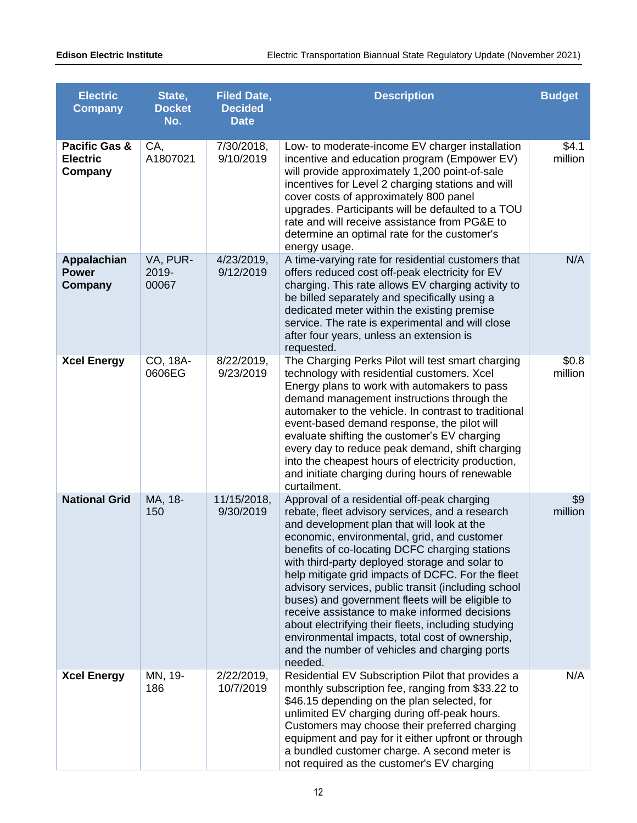| <b>Electric</b><br><b>Company</b>                      | State,<br><b>Docket</b><br>No. | <b>Filed Date,</b><br><b>Decided</b><br><b>Date</b> | <b>Description</b>                                                                                                                                                                                                                                                                                                                                                                                                                                                                                                                                                                                                                                                                     | <b>Budget</b>      |
|--------------------------------------------------------|--------------------------------|-----------------------------------------------------|----------------------------------------------------------------------------------------------------------------------------------------------------------------------------------------------------------------------------------------------------------------------------------------------------------------------------------------------------------------------------------------------------------------------------------------------------------------------------------------------------------------------------------------------------------------------------------------------------------------------------------------------------------------------------------------|--------------------|
| <b>Pacific Gas &amp;</b><br><b>Electric</b><br>Company | CA,<br>A1807021                | 7/30/2018,<br>9/10/2019                             | Low- to moderate-income EV charger installation<br>incentive and education program (Empower EV)<br>will provide approximately 1,200 point-of-sale<br>incentives for Level 2 charging stations and will<br>cover costs of approximately 800 panel<br>upgrades. Participants will be defaulted to a TOU<br>rate and will receive assistance from PG&E to<br>determine an optimal rate for the customer's<br>energy usage.                                                                                                                                                                                                                                                                | \$4.1<br>million   |
| Appalachian<br><b>Power</b><br>Company                 | VA, PUR-<br>2019-<br>00067     | 4/23/2019,<br>9/12/2019                             | A time-varying rate for residential customers that<br>offers reduced cost off-peak electricity for EV<br>charging. This rate allows EV charging activity to<br>be billed separately and specifically using a<br>dedicated meter within the existing premise<br>service. The rate is experimental and will close<br>after four years, unless an extension is<br>requested.                                                                                                                                                                                                                                                                                                              | N/A                |
| <b>Xcel Energy</b>                                     | CO, 18A-<br>0606EG             | 8/22/2019,<br>9/23/2019                             | The Charging Perks Pilot will test smart charging<br>technology with residential customers. Xcel<br>Energy plans to work with automakers to pass<br>demand management instructions through the<br>automaker to the vehicle. In contrast to traditional<br>event-based demand response, the pilot will<br>evaluate shifting the customer's EV charging<br>every day to reduce peak demand, shift charging<br>into the cheapest hours of electricity production,<br>and initiate charging during hours of renewable<br>curtailment.                                                                                                                                                      | \$0.8\$<br>million |
| <b>National Grid</b>                                   | MA, 18-<br>150                 | 11/15/2018,<br>9/30/2019                            | Approval of a residential off-peak charging<br>rebate, fleet advisory services, and a research<br>and development plan that will look at the<br>economic, environmental, grid, and customer<br>benefits of co-locating DCFC charging stations<br>with third-party deployed storage and solar to<br>help mitigate grid impacts of DCFC. For the fleet<br>advisory services, public transit (including school<br>buses) and government fleets will be eligible to<br>receive assistance to make informed decisions<br>about electrifying their fleets, including studying<br>environmental impacts, total cost of ownership,<br>and the number of vehicles and charging ports<br>needed. | \$9<br>million     |
| <b>Xcel Energy</b>                                     | MN, 19-<br>186                 | 2/22/2019,<br>10/7/2019                             | Residential EV Subscription Pilot that provides a<br>monthly subscription fee, ranging from \$33.22 to<br>\$46.15 depending on the plan selected, for<br>unlimited EV charging during off-peak hours.<br>Customers may choose their preferred charging<br>equipment and pay for it either upfront or through<br>a bundled customer charge. A second meter is<br>not required as the customer's EV charging                                                                                                                                                                                                                                                                             | N/A                |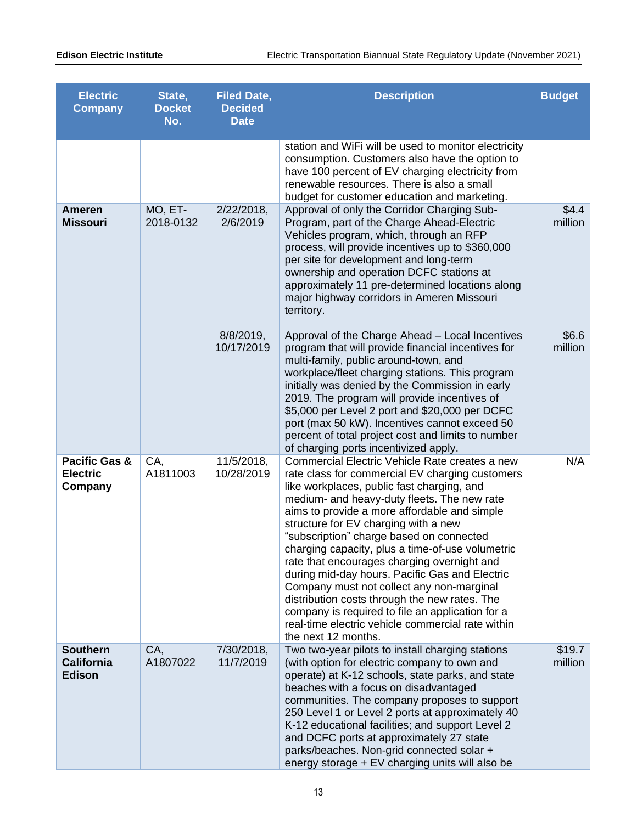| <b>Electric</b><br><b>Company</b>                      | State,<br><b>Docket</b><br>No. | <b>Filed Date,</b><br><b>Decided</b><br><b>Date</b> | <b>Description</b>                                                                                                                                                                                                                                                                                                                                                                                                                                                                                                                                                                                                                                                                                                    | <b>Budget</b>      |
|--------------------------------------------------------|--------------------------------|-----------------------------------------------------|-----------------------------------------------------------------------------------------------------------------------------------------------------------------------------------------------------------------------------------------------------------------------------------------------------------------------------------------------------------------------------------------------------------------------------------------------------------------------------------------------------------------------------------------------------------------------------------------------------------------------------------------------------------------------------------------------------------------------|--------------------|
|                                                        |                                |                                                     | station and WiFi will be used to monitor electricity<br>consumption. Customers also have the option to<br>have 100 percent of EV charging electricity from<br>renewable resources. There is also a small<br>budget for customer education and marketing.                                                                                                                                                                                                                                                                                                                                                                                                                                                              |                    |
| <b>Ameren</b><br><b>Missouri</b>                       | MO, ET-<br>2018-0132           | 2/22/2018,<br>2/6/2019                              | Approval of only the Corridor Charging Sub-<br>Program, part of the Charge Ahead-Electric<br>Vehicles program, which, through an RFP<br>process, will provide incentives up to \$360,000<br>per site for development and long-term<br>ownership and operation DCFC stations at<br>approximately 11 pre-determined locations along<br>major highway corridors in Ameren Missouri<br>territory.                                                                                                                                                                                                                                                                                                                         | \$4.4<br>million   |
|                                                        |                                | $8/8/2019$ ,<br>10/17/2019                          | Approval of the Charge Ahead - Local Incentives<br>program that will provide financial incentives for<br>multi-family, public around-town, and<br>workplace/fleet charging stations. This program<br>initially was denied by the Commission in early<br>2019. The program will provide incentives of<br>\$5,000 per Level 2 port and \$20,000 per DCFC<br>port (max 50 kW). Incentives cannot exceed 50<br>percent of total project cost and limits to number<br>of charging ports incentivized apply.                                                                                                                                                                                                                | \$6.6\$<br>million |
| <b>Pacific Gas &amp;</b><br><b>Electric</b><br>Company | CA,<br>A1811003                | 11/5/2018,<br>10/28/2019                            | Commercial Electric Vehicle Rate creates a new<br>rate class for commercial EV charging customers<br>like workplaces, public fast charging, and<br>medium- and heavy-duty fleets. The new rate<br>aims to provide a more affordable and simple<br>structure for EV charging with a new<br>"subscription" charge based on connected<br>charging capacity, plus a time-of-use volumetric<br>rate that encourages charging overnight and<br>during mid-day hours. Pacific Gas and Electric<br>Company must not collect any non-marginal<br>distribution costs through the new rates. The<br>company is required to file an application for a<br>real-time electric vehicle commercial rate within<br>the next 12 months. | N/A                |
| <b>Southern</b><br><b>California</b><br><b>Edison</b>  | CA,<br>A1807022                | 7/30/2018,<br>11/7/2019                             | Two two-year pilots to install charging stations<br>(with option for electric company to own and<br>operate) at K-12 schools, state parks, and state<br>beaches with a focus on disadvantaged<br>communities. The company proposes to support<br>250 Level 1 or Level 2 ports at approximately 40<br>K-12 educational facilities; and support Level 2<br>and DCFC ports at approximately 27 state<br>parks/beaches. Non-grid connected solar +<br>energy storage + EV charging units will also be                                                                                                                                                                                                                     | \$19.7<br>million  |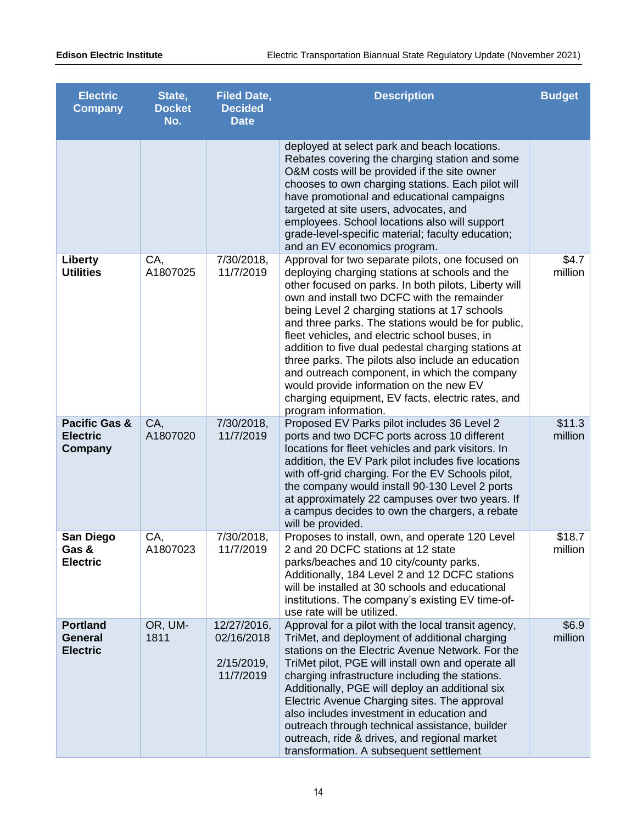| <b>Electric</b><br><b>Company</b>                    | State,<br><b>Docket</b><br>No. | <b>Filed Date,</b><br><b>Decided</b><br><b>Date</b>     | <b>Description</b>                                                                                                                                                                                                                                                                                                                                                                                                                                                                                                                                                                                                                                    | <b>Budget</b>     |
|------------------------------------------------------|--------------------------------|---------------------------------------------------------|-------------------------------------------------------------------------------------------------------------------------------------------------------------------------------------------------------------------------------------------------------------------------------------------------------------------------------------------------------------------------------------------------------------------------------------------------------------------------------------------------------------------------------------------------------------------------------------------------------------------------------------------------------|-------------------|
|                                                      |                                |                                                         | deployed at select park and beach locations.<br>Rebates covering the charging station and some<br>O&M costs will be provided if the site owner<br>chooses to own charging stations. Each pilot will<br>have promotional and educational campaigns<br>targeted at site users, advocates, and<br>employees. School locations also will support<br>grade-level-specific material; faculty education;<br>and an EV economics program.                                                                                                                                                                                                                     |                   |
| Liberty<br><b>Utilities</b>                          | CA,<br>A1807025                | 7/30/2018,<br>11/7/2019                                 | Approval for two separate pilots, one focused on<br>deploying charging stations at schools and the<br>other focused on parks. In both pilots, Liberty will<br>own and install two DCFC with the remainder<br>being Level 2 charging stations at 17 schools<br>and three parks. The stations would be for public,<br>fleet vehicles, and electric school buses, in<br>addition to five dual pedestal charging stations at<br>three parks. The pilots also include an education<br>and outreach component, in which the company<br>would provide information on the new EV<br>charging equipment, EV facts, electric rates, and<br>program information. | \$4.7<br>million  |
| Pacific Gas &<br><b>Electric</b><br>Company          | CA,<br>A1807020                | 7/30/2018,<br>11/7/2019                                 | Proposed EV Parks pilot includes 36 Level 2<br>ports and two DCFC ports across 10 different<br>locations for fleet vehicles and park visitors. In<br>addition, the EV Park pilot includes five locations<br>with off-grid charging. For the EV Schools pilot,<br>the company would install 90-130 Level 2 ports<br>at approximately 22 campuses over two years. If<br>a campus decides to own the chargers, a rebate<br>will be provided.                                                                                                                                                                                                             | \$11.3<br>million |
| San Diego<br>Gas &<br><b>Electric</b>                | CA,<br>A1807023                | 7/30/2018,<br>11/7/2019                                 | Proposes to install, own, and operate 120 Level<br>2 and 20 DCFC stations at 12 state<br>parks/beaches and 10 city/county parks.<br>Additionally, 184 Level 2 and 12 DCFC stations<br>will be installed at 30 schools and educational<br>institutions. The company's existing EV time-of-<br>use rate will be utilized.                                                                                                                                                                                                                                                                                                                               | \$18.7<br>million |
| <b>Portland</b><br><b>General</b><br><b>Electric</b> | OR, UM-<br>1811                | 12/27/2016,<br>02/16/2018<br>$2/15/2019$ ,<br>11/7/2019 | Approval for a pilot with the local transit agency,<br>TriMet, and deployment of additional charging<br>stations on the Electric Avenue Network. For the<br>TriMet pilot, PGE will install own and operate all<br>charging infrastructure including the stations.<br>Additionally, PGE will deploy an additional six<br>Electric Avenue Charging sites. The approval<br>also includes investment in education and<br>outreach through technical assistance, builder<br>outreach, ride & drives, and regional market<br>transformation. A subsequent settlement                                                                                        | \$6.9<br>million  |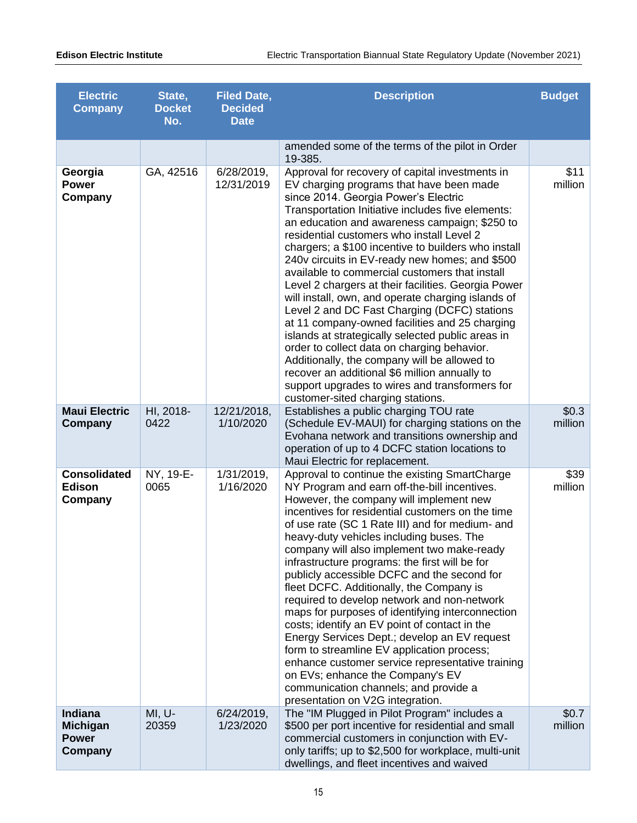| <b>Electric</b><br><b>Company</b>                     | State,<br><b>Docket</b><br>No. | <b>Filed Date,</b><br><b>Decided</b><br><b>Date</b> | <b>Description</b>                                                                                                                                                                                                                                                                                                                                                                                                                                                                                                                                                                                                                                                                                                                                                                                                                                                                                                                                           | <b>Budget</b>    |
|-------------------------------------------------------|--------------------------------|-----------------------------------------------------|--------------------------------------------------------------------------------------------------------------------------------------------------------------------------------------------------------------------------------------------------------------------------------------------------------------------------------------------------------------------------------------------------------------------------------------------------------------------------------------------------------------------------------------------------------------------------------------------------------------------------------------------------------------------------------------------------------------------------------------------------------------------------------------------------------------------------------------------------------------------------------------------------------------------------------------------------------------|------------------|
|                                                       |                                |                                                     | amended some of the terms of the pilot in Order<br>19-385.                                                                                                                                                                                                                                                                                                                                                                                                                                                                                                                                                                                                                                                                                                                                                                                                                                                                                                   |                  |
| Georgia<br><b>Power</b><br>Company                    | GA, 42516                      | 6/28/2019,<br>12/31/2019                            | Approval for recovery of capital investments in<br>EV charging programs that have been made<br>since 2014. Georgia Power's Electric<br>Transportation Initiative includes five elements:<br>an education and awareness campaign; \$250 to<br>residential customers who install Level 2<br>chargers; a \$100 incentive to builders who install<br>240v circuits in EV-ready new homes; and \$500<br>available to commercial customers that install<br>Level 2 chargers at their facilities. Georgia Power<br>will install, own, and operate charging islands of<br>Level 2 and DC Fast Charging (DCFC) stations<br>at 11 company-owned facilities and 25 charging<br>islands at strategically selected public areas in<br>order to collect data on charging behavior.<br>Additionally, the company will be allowed to<br>recover an additional \$6 million annually to<br>support upgrades to wires and transformers for<br>customer-sited charging stations. | \$11<br>million  |
| <b>Maui Electric</b><br>Company                       | HI, 2018-<br>0422              | 12/21/2018,<br>1/10/2020                            | Establishes a public charging TOU rate<br>(Schedule EV-MAUI) for charging stations on the<br>Evohana network and transitions ownership and<br>operation of up to 4 DCFC station locations to<br>Maui Electric for replacement.                                                                                                                                                                                                                                                                                                                                                                                                                                                                                                                                                                                                                                                                                                                               | \$0.3<br>million |
| <b>Consolidated</b><br>Edison<br>Company              | NY, 19-E-<br>0065              | 1/31/2019,<br>1/16/2020                             | Approval to continue the existing SmartCharge<br>NY Program and earn off-the-bill incentives.<br>However, the company will implement new<br>incentives for residential customers on the time<br>of use rate (SC 1 Rate III) and for medium- and<br>heavy-duty vehicles including buses. The<br>company will also implement two make-ready<br>infrastructure programs: the first will be for<br>publicly accessible DCFC and the second for<br>fleet DCFC. Additionally, the Company is<br>required to develop network and non-network<br>maps for purposes of identifying interconnection<br>costs; identify an EV point of contact in the<br>Energy Services Dept.; develop an EV request<br>form to streamline EV application process;<br>enhance customer service representative training<br>on EVs; enhance the Company's EV<br>communication channels; and provide a<br>presentation on V2G integration.                                                | \$39<br>million  |
| Indiana<br><b>Michigan</b><br><b>Power</b><br>Company | MI, U-<br>20359                | 6/24/2019,<br>1/23/2020                             | The "IM Plugged in Pilot Program" includes a<br>\$500 per port incentive for residential and small<br>commercial customers in conjunction with EV-<br>only tariffs; up to \$2,500 for workplace, multi-unit<br>dwellings, and fleet incentives and waived                                                                                                                                                                                                                                                                                                                                                                                                                                                                                                                                                                                                                                                                                                    | \$0.7<br>million |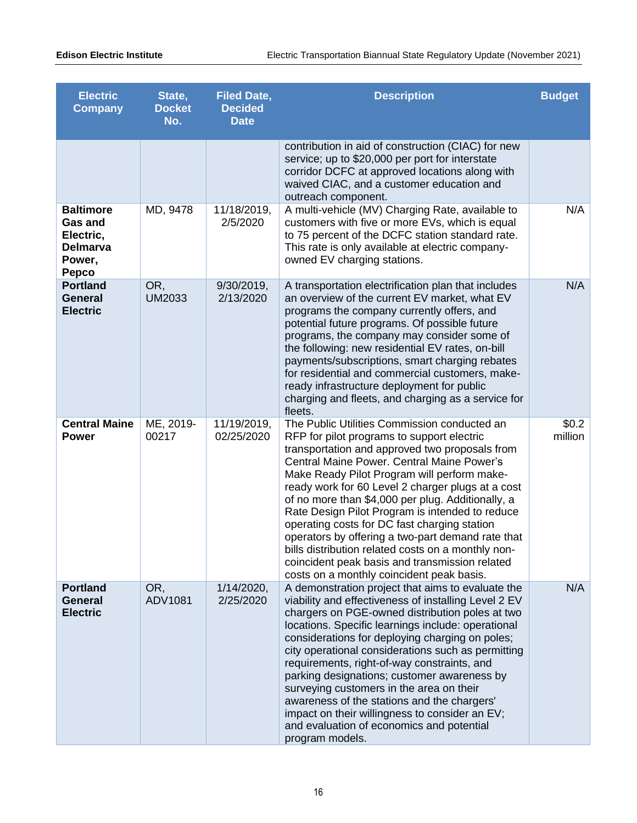| <b>Electric</b><br><b>Company</b>                                                     | State,<br><b>Docket</b><br>No. | <b>Filed Date,</b><br><b>Decided</b><br><b>Date</b> | <b>Description</b>                                                                                                                                                                                                                                                                                                                                                                                                                                                                                                                                                                                                                                               | <b>Budget</b>      |
|---------------------------------------------------------------------------------------|--------------------------------|-----------------------------------------------------|------------------------------------------------------------------------------------------------------------------------------------------------------------------------------------------------------------------------------------------------------------------------------------------------------------------------------------------------------------------------------------------------------------------------------------------------------------------------------------------------------------------------------------------------------------------------------------------------------------------------------------------------------------------|--------------------|
|                                                                                       |                                |                                                     | contribution in aid of construction (CIAC) for new<br>service; up to \$20,000 per port for interstate<br>corridor DCFC at approved locations along with<br>waived CIAC, and a customer education and<br>outreach component.                                                                                                                                                                                                                                                                                                                                                                                                                                      |                    |
| <b>Baltimore</b><br><b>Gas and</b><br>Electric,<br><b>Delmarva</b><br>Power,<br>Pepco | MD, 9478                       | 11/18/2019,<br>2/5/2020                             | A multi-vehicle (MV) Charging Rate, available to<br>customers with five or more EVs, which is equal<br>to 75 percent of the DCFC station standard rate.<br>This rate is only available at electric company-<br>owned EV charging stations.                                                                                                                                                                                                                                                                                                                                                                                                                       | N/A                |
| <b>Portland</b><br><b>General</b><br><b>Electric</b>                                  | OR,<br><b>UM2033</b>           | 9/30/2019,<br>2/13/2020                             | A transportation electrification plan that includes<br>an overview of the current EV market, what EV<br>programs the company currently offers, and<br>potential future programs. Of possible future<br>programs, the company may consider some of<br>the following: new residential EV rates, on-bill<br>payments/subscriptions, smart charging rebates<br>for residential and commercial customers, make-<br>ready infrastructure deployment for public<br>charging and fleets, and charging as a service for<br>fleets.                                                                                                                                        | N/A                |
| <b>Central Maine</b><br><b>Power</b>                                                  | ME, 2019-<br>00217             | 11/19/2019,<br>02/25/2020                           | The Public Utilities Commission conducted an<br>RFP for pilot programs to support electric<br>transportation and approved two proposals from<br>Central Maine Power. Central Maine Power's<br>Make Ready Pilot Program will perform make-<br>ready work for 60 Level 2 charger plugs at a cost<br>of no more than \$4,000 per plug. Additionally, a<br>Rate Design Pilot Program is intended to reduce<br>operating costs for DC fast charging station<br>operators by offering a two-part demand rate that<br>bills distribution related costs on a monthly non-<br>coincident peak basis and transmission related<br>costs on a monthly coincident peak basis. | \$0.2\$<br>million |
| <b>Portland</b><br><b>General</b><br><b>Electric</b>                                  | OR,<br>ADV1081                 | 1/14/2020,<br>2/25/2020                             | A demonstration project that aims to evaluate the<br>viability and effectiveness of installing Level 2 EV<br>chargers on PGE-owned distribution poles at two<br>locations. Specific learnings include: operational<br>considerations for deploying charging on poles;<br>city operational considerations such as permitting<br>requirements, right-of-way constraints, and<br>parking designations; customer awareness by<br>surveying customers in the area on their<br>awareness of the stations and the chargers'<br>impact on their willingness to consider an EV;<br>and evaluation of economics and potential<br>program models.                           | N/A                |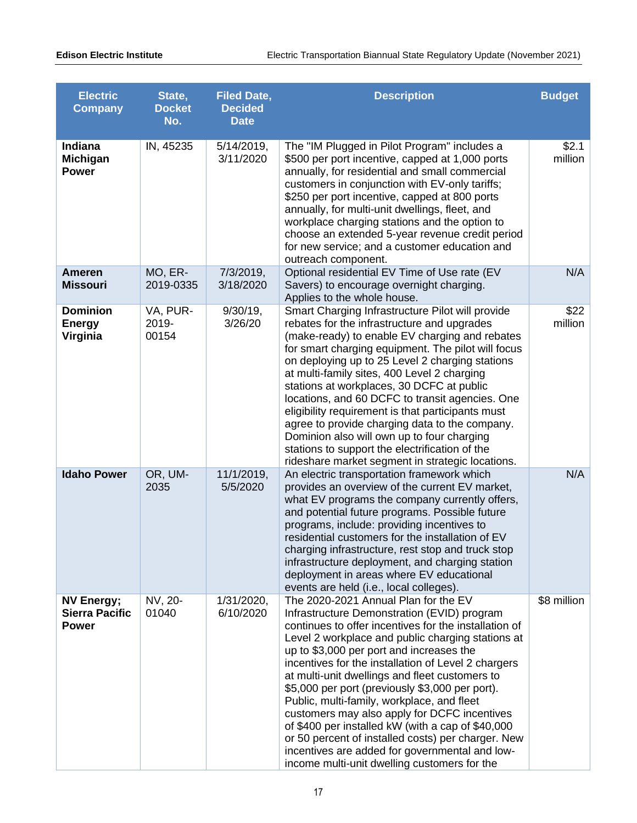| <b>Electric</b><br><b>Company</b>                          | State,<br><b>Docket</b><br>No. | <b>Filed Date,</b><br><b>Decided</b><br><b>Date</b> | <b>Description</b>                                                                                                                                                                                                                                                                                                                                                                                                                                                                                                                                                                                                                                                                                                   | <b>Budget</b>    |
|------------------------------------------------------------|--------------------------------|-----------------------------------------------------|----------------------------------------------------------------------------------------------------------------------------------------------------------------------------------------------------------------------------------------------------------------------------------------------------------------------------------------------------------------------------------------------------------------------------------------------------------------------------------------------------------------------------------------------------------------------------------------------------------------------------------------------------------------------------------------------------------------------|------------------|
| Indiana<br>Michigan<br><b>Power</b>                        | IN, 45235                      | 5/14/2019,<br>3/11/2020                             | The "IM Plugged in Pilot Program" includes a<br>\$500 per port incentive, capped at 1,000 ports<br>annually, for residential and small commercial<br>customers in conjunction with EV-only tariffs;<br>\$250 per port incentive, capped at 800 ports<br>annually, for multi-unit dwellings, fleet, and<br>workplace charging stations and the option to<br>choose an extended 5-year revenue credit period<br>for new service; and a customer education and<br>outreach component.                                                                                                                                                                                                                                   | \$2.1<br>million |
| Ameren<br><b>Missouri</b>                                  | MO, ER-<br>2019-0335           | 7/3/2019,<br>3/18/2020                              | Optional residential EV Time of Use rate (EV<br>Savers) to encourage overnight charging.<br>Applies to the whole house.                                                                                                                                                                                                                                                                                                                                                                                                                                                                                                                                                                                              | N/A              |
| <b>Dominion</b><br><b>Energy</b><br>Virginia               | VA, PUR-<br>2019-<br>00154     | $9/30/19$ ,<br>3/26/20                              | Smart Charging Infrastructure Pilot will provide<br>rebates for the infrastructure and upgrades<br>(make-ready) to enable EV charging and rebates<br>for smart charging equipment. The pilot will focus<br>on deploying up to 25 Level 2 charging stations<br>at multi-family sites, 400 Level 2 charging<br>stations at workplaces, 30 DCFC at public<br>locations, and 60 DCFC to transit agencies. One<br>eligibility requirement is that participants must<br>agree to provide charging data to the company.<br>Dominion also will own up to four charging<br>stations to support the electrification of the<br>rideshare market segment in strategic locations.                                                 | \$22<br>million  |
| <b>Idaho Power</b>                                         | OR, UM-<br>2035                | 11/1/2019,<br>5/5/2020                              | An electric transportation framework which<br>provides an overview of the current EV market,<br>what EV programs the company currently offers,<br>and potential future programs. Possible future<br>programs, include: providing incentives to<br>residential customers for the installation of EV<br>charging infrastructure, rest stop and truck stop<br>infrastructure deployment, and charging station<br>deployment in areas where EV educational<br>events are held (i.e., local colleges).                                                                                                                                                                                                                    | N/A              |
| <b>NV Energy;</b><br><b>Sierra Pacific</b><br><b>Power</b> | NV, 20-<br>01040               | 1/31/2020,<br>6/10/2020                             | The 2020-2021 Annual Plan for the EV<br>Infrastructure Demonstration (EVID) program<br>continues to offer incentives for the installation of<br>Level 2 workplace and public charging stations at<br>up to \$3,000 per port and increases the<br>incentives for the installation of Level 2 chargers<br>at multi-unit dwellings and fleet customers to<br>\$5,000 per port (previously \$3,000 per port).<br>Public, multi-family, workplace, and fleet<br>customers may also apply for DCFC incentives<br>of \$400 per installed kW (with a cap of \$40,000<br>or 50 percent of installed costs) per charger. New<br>incentives are added for governmental and low-<br>income multi-unit dwelling customers for the | \$8 million      |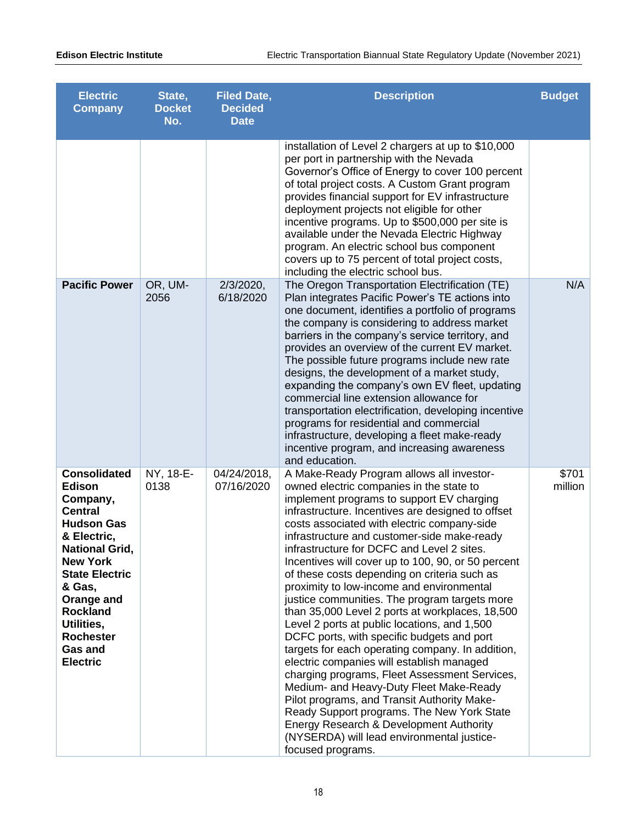| <b>Electric</b><br><b>Company</b>                                                                                                                                                                                                                                                      | State,<br><b>Docket</b><br>No. | <b>Filed Date,</b><br><b>Decided</b><br><b>Date</b> | <b>Description</b>                                                                                                                                                                                                                                                                                                                                                                                                                                                                                                                                                                                                                                                                                                                                                                                                                                                                                                                                                                                                                                                                               | <b>Budget</b>    |
|----------------------------------------------------------------------------------------------------------------------------------------------------------------------------------------------------------------------------------------------------------------------------------------|--------------------------------|-----------------------------------------------------|--------------------------------------------------------------------------------------------------------------------------------------------------------------------------------------------------------------------------------------------------------------------------------------------------------------------------------------------------------------------------------------------------------------------------------------------------------------------------------------------------------------------------------------------------------------------------------------------------------------------------------------------------------------------------------------------------------------------------------------------------------------------------------------------------------------------------------------------------------------------------------------------------------------------------------------------------------------------------------------------------------------------------------------------------------------------------------------------------|------------------|
|                                                                                                                                                                                                                                                                                        |                                |                                                     | installation of Level 2 chargers at up to \$10,000<br>per port in partnership with the Nevada<br>Governor's Office of Energy to cover 100 percent<br>of total project costs. A Custom Grant program<br>provides financial support for EV infrastructure<br>deployment projects not eligible for other<br>incentive programs. Up to \$500,000 per site is<br>available under the Nevada Electric Highway<br>program. An electric school bus component<br>covers up to 75 percent of total project costs,<br>including the electric school bus.                                                                                                                                                                                                                                                                                                                                                                                                                                                                                                                                                    |                  |
| <b>Pacific Power</b>                                                                                                                                                                                                                                                                   | OR, UM-<br>2056                | $2/3/2020$ ,<br>6/18/2020                           | The Oregon Transportation Electrification (TE)<br>Plan integrates Pacific Power's TE actions into<br>one document, identifies a portfolio of programs<br>the company is considering to address market<br>barriers in the company's service territory, and<br>provides an overview of the current EV market.<br>The possible future programs include new rate<br>designs, the development of a market study,<br>expanding the company's own EV fleet, updating<br>commercial line extension allowance for<br>transportation electrification, developing incentive<br>programs for residential and commercial<br>infrastructure, developing a fleet make-ready<br>incentive program, and increasing awareness<br>and education.                                                                                                                                                                                                                                                                                                                                                                    | N/A              |
| <b>Consolidated</b><br><b>Edison</b><br>Company,<br><b>Central</b><br><b>Hudson Gas</b><br>& Electric,<br><b>National Grid,</b><br><b>New York</b><br><b>State Electric</b><br>& Gas,<br>Orange and<br><b>Rockland</b><br>Utilities,<br><b>Rochester</b><br>Gas and<br><b>Electric</b> | NY, 18-E-<br>0138              | 04/24/2018,<br>07/16/2020                           | A Make-Ready Program allows all investor-<br>owned electric companies in the state to<br>implement programs to support EV charging<br>infrastructure. Incentives are designed to offset<br>costs associated with electric company-side<br>infrastructure and customer-side make-ready<br>infrastructure for DCFC and Level 2 sites.<br>Incentives will cover up to 100, 90, or 50 percent<br>of these costs depending on criteria such as<br>proximity to low-income and environmental<br>justice communities. The program targets more<br>than 35,000 Level 2 ports at workplaces, 18,500<br>Level 2 ports at public locations, and 1,500<br>DCFC ports, with specific budgets and port<br>targets for each operating company. In addition,<br>electric companies will establish managed<br>charging programs, Fleet Assessment Services,<br>Medium- and Heavy-Duty Fleet Make-Ready<br>Pilot programs, and Transit Authority Make-<br>Ready Support programs. The New York State<br>Energy Research & Development Authority<br>(NYSERDA) will lead environmental justice-<br>focused programs. | \$701<br>million |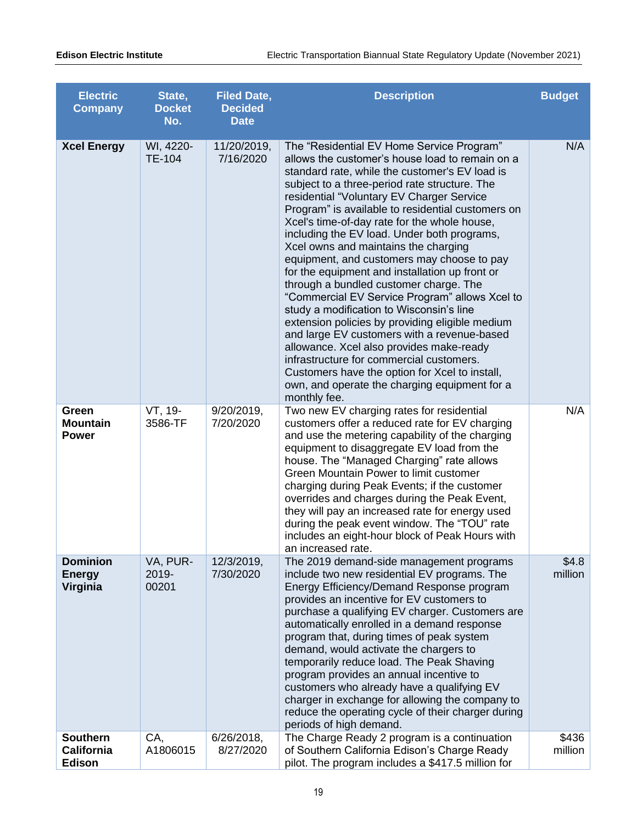| <b>Electric</b><br><b>Company</b>              | State,<br><b>Docket</b><br>No. | <b>Filed Date,</b><br><b>Decided</b><br><b>Date</b> | <b>Description</b>                                                                                                                                                                                                                                                                                                                                                                                                                                                                                                                                                                                                                                                                                                                                                                                                                                                                                                                                                                            | <b>Budget</b>    |
|------------------------------------------------|--------------------------------|-----------------------------------------------------|-----------------------------------------------------------------------------------------------------------------------------------------------------------------------------------------------------------------------------------------------------------------------------------------------------------------------------------------------------------------------------------------------------------------------------------------------------------------------------------------------------------------------------------------------------------------------------------------------------------------------------------------------------------------------------------------------------------------------------------------------------------------------------------------------------------------------------------------------------------------------------------------------------------------------------------------------------------------------------------------------|------------------|
| <b>Xcel Energy</b>                             | WI, 4220-<br><b>TE-104</b>     | 11/20/2019,<br>7/16/2020                            | The "Residential EV Home Service Program"<br>allows the customer's house load to remain on a<br>standard rate, while the customer's EV load is<br>subject to a three-period rate structure. The<br>residential "Voluntary EV Charger Service<br>Program" is available to residential customers on<br>Xcel's time-of-day rate for the whole house,<br>including the EV load. Under both programs,<br>Xcel owns and maintains the charging<br>equipment, and customers may choose to pay<br>for the equipment and installation up front or<br>through a bundled customer charge. The<br>"Commercial EV Service Program" allows Xcel to<br>study a modification to Wisconsin's line<br>extension policies by providing eligible medium<br>and large EV customers with a revenue-based<br>allowance. Xcel also provides make-ready<br>infrastructure for commercial customers.<br>Customers have the option for Xcel to install,<br>own, and operate the charging equipment for a<br>monthly fee. | N/A              |
| Green<br><b>Mountain</b><br><b>Power</b>       | VT, 19-<br>3586-TF             | $9/20/2019$ ,<br>7/20/2020                          | Two new EV charging rates for residential<br>customers offer a reduced rate for EV charging<br>and use the metering capability of the charging<br>equipment to disaggregate EV load from the<br>house. The "Managed Charging" rate allows<br>Green Mountain Power to limit customer<br>charging during Peak Events; if the customer<br>overrides and charges during the Peak Event,<br>they will pay an increased rate for energy used<br>during the peak event window. The "TOU" rate<br>includes an eight-hour block of Peak Hours with<br>an increased rate.                                                                                                                                                                                                                                                                                                                                                                                                                               | N/A              |
| <b>Dominion</b><br><b>Energy</b><br>Virginia   | VA, PUR-<br>2019-<br>00201     | 12/3/2019,<br>7/30/2020                             | The 2019 demand-side management programs<br>include two new residential EV programs. The<br>Energy Efficiency/Demand Response program<br>provides an incentive for EV customers to<br>purchase a qualifying EV charger. Customers are<br>automatically enrolled in a demand response<br>program that, during times of peak system<br>demand, would activate the chargers to<br>temporarily reduce load. The Peak Shaving<br>program provides an annual incentive to<br>customers who already have a qualifying EV<br>charger in exchange for allowing the company to<br>reduce the operating cycle of their charger during<br>periods of high demand.                                                                                                                                                                                                                                                                                                                                         | \$4.8<br>million |
| <b>Southern</b><br><b>California</b><br>Edison | CA,<br>A1806015                | $6/26/2018$ ,<br>8/27/2020                          | The Charge Ready 2 program is a continuation<br>of Southern California Edison's Charge Ready<br>pilot. The program includes a \$417.5 million for                                                                                                                                                                                                                                                                                                                                                                                                                                                                                                                                                                                                                                                                                                                                                                                                                                             | \$436<br>million |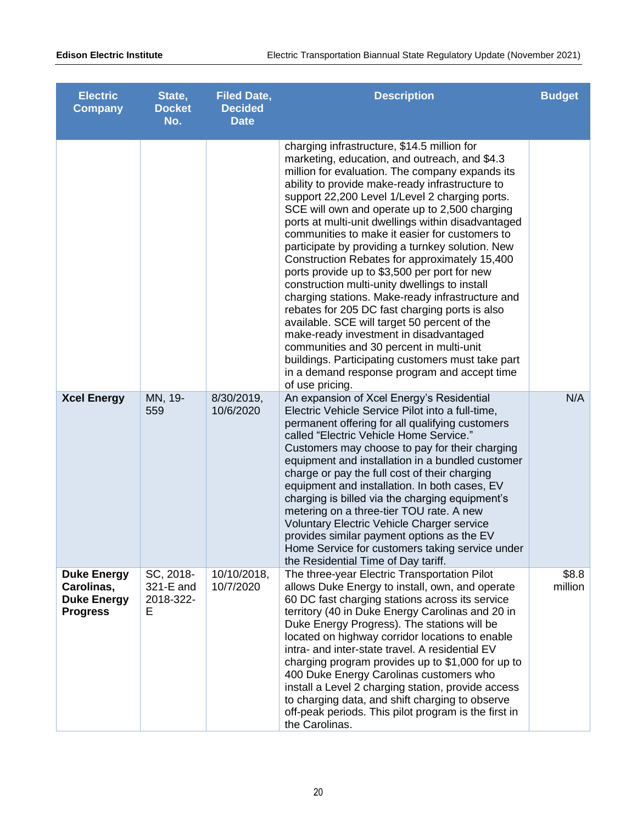| <b>Electric</b><br><b>Company</b>                                         | State,<br><b>Docket</b><br>No.           | <b>Filed Date,</b><br><b>Decided</b><br><b>Date</b> | <b>Description</b>                                                                                                                                                                                                                                                                                                                                                                                                                                                                                                                                                                                                                                                                                                                                                                                                                                                                                                                                                                      | <b>Budget</b>    |
|---------------------------------------------------------------------------|------------------------------------------|-----------------------------------------------------|-----------------------------------------------------------------------------------------------------------------------------------------------------------------------------------------------------------------------------------------------------------------------------------------------------------------------------------------------------------------------------------------------------------------------------------------------------------------------------------------------------------------------------------------------------------------------------------------------------------------------------------------------------------------------------------------------------------------------------------------------------------------------------------------------------------------------------------------------------------------------------------------------------------------------------------------------------------------------------------------|------------------|
|                                                                           |                                          |                                                     | charging infrastructure, \$14.5 million for<br>marketing, education, and outreach, and \$4.3<br>million for evaluation. The company expands its<br>ability to provide make-ready infrastructure to<br>support 22,200 Level 1/Level 2 charging ports.<br>SCE will own and operate up to 2,500 charging<br>ports at multi-unit dwellings within disadvantaged<br>communities to make it easier for customers to<br>participate by providing a turnkey solution. New<br>Construction Rebates for approximately 15,400<br>ports provide up to \$3,500 per port for new<br>construction multi-unity dwellings to install<br>charging stations. Make-ready infrastructure and<br>rebates for 205 DC fast charging ports is also<br>available. SCE will target 50 percent of the<br>make-ready investment in disadvantaged<br>communities and 30 percent in multi-unit<br>buildings. Participating customers must take part<br>in a demand response program and accept time<br>of use pricing. |                  |
| <b>Xcel Energy</b>                                                        | MN, 19-<br>559                           | 8/30/2019,<br>10/6/2020                             | An expansion of Xcel Energy's Residential<br>Electric Vehicle Service Pilot into a full-time,<br>permanent offering for all qualifying customers<br>called "Electric Vehicle Home Service."<br>Customers may choose to pay for their charging<br>equipment and installation in a bundled customer<br>charge or pay the full cost of their charging<br>equipment and installation. In both cases, EV<br>charging is billed via the charging equipment's<br>metering on a three-tier TOU rate. A new<br>Voluntary Electric Vehicle Charger service<br>provides similar payment options as the EV<br>Home Service for customers taking service under<br>the Residential Time of Day tariff.                                                                                                                                                                                                                                                                                                | N/A              |
| <b>Duke Energy</b><br>Carolinas,<br><b>Duke Energy</b><br><b>Progress</b> | SC, 2018-<br>321-E and<br>2018-322-<br>Е | 10/10/2018,<br>10/7/2020                            | The three-year Electric Transportation Pilot<br>allows Duke Energy to install, own, and operate<br>60 DC fast charging stations across its service<br>territory (40 in Duke Energy Carolinas and 20 in<br>Duke Energy Progress). The stations will be<br>located on highway corridor locations to enable<br>intra- and inter-state travel. A residential EV<br>charging program provides up to \$1,000 for up to<br>400 Duke Energy Carolinas customers who<br>install a Level 2 charging station, provide access<br>to charging data, and shift charging to observe<br>off-peak periods. This pilot program is the first in<br>the Carolinas.                                                                                                                                                                                                                                                                                                                                          | \$8.8<br>million |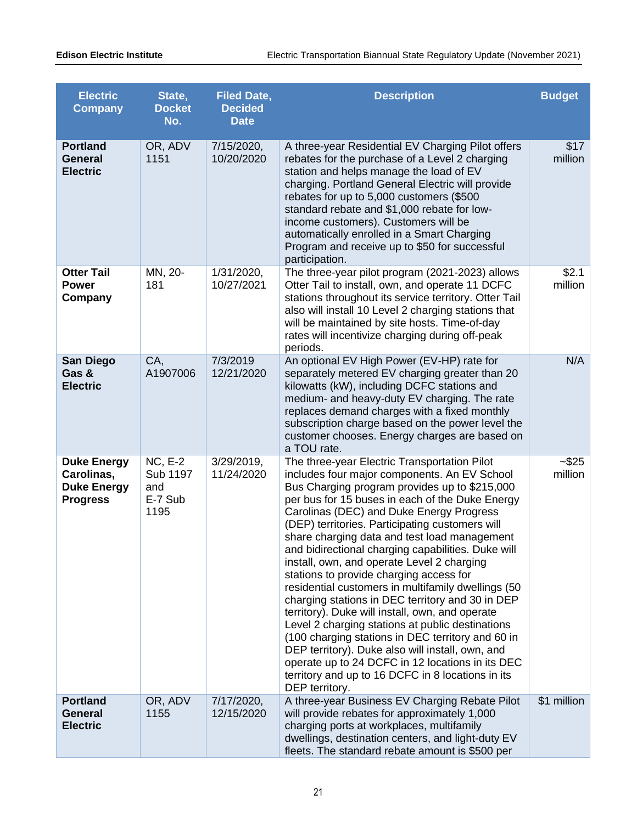| <b>Electric</b><br><b>Company</b>                                         | State,<br><b>Docket</b><br>No.                       | <b>Filed Date,</b><br><b>Decided</b><br><b>Date</b> | <b>Description</b>                                                                                                                                                                                                                                                                                                                                                                                                                                                                                                                                                                                                                                                                                                                                                                                                                                                                                                                                  | <b>Budget</b>       |
|---------------------------------------------------------------------------|------------------------------------------------------|-----------------------------------------------------|-----------------------------------------------------------------------------------------------------------------------------------------------------------------------------------------------------------------------------------------------------------------------------------------------------------------------------------------------------------------------------------------------------------------------------------------------------------------------------------------------------------------------------------------------------------------------------------------------------------------------------------------------------------------------------------------------------------------------------------------------------------------------------------------------------------------------------------------------------------------------------------------------------------------------------------------------------|---------------------|
| <b>Portland</b><br><b>General</b><br><b>Electric</b>                      | OR, ADV<br>1151                                      | 7/15/2020,<br>10/20/2020                            | A three-year Residential EV Charging Pilot offers<br>rebates for the purchase of a Level 2 charging<br>station and helps manage the load of EV<br>charging. Portland General Electric will provide<br>rebates for up to 5,000 customers (\$500<br>standard rebate and \$1,000 rebate for low-<br>income customers). Customers will be<br>automatically enrolled in a Smart Charging<br>Program and receive up to \$50 for successful<br>participation.                                                                                                                                                                                                                                                                                                                                                                                                                                                                                              | \$17<br>million     |
| <b>Otter Tail</b><br><b>Power</b><br>Company                              | MN, 20-<br>181                                       | 1/31/2020,<br>10/27/2021                            | The three-year pilot program (2021-2023) allows<br>Otter Tail to install, own, and operate 11 DCFC<br>stations throughout its service territory. Otter Tail<br>also will install 10 Level 2 charging stations that<br>will be maintained by site hosts. Time-of-day<br>rates will incentivize charging during off-peak<br>periods.                                                                                                                                                                                                                                                                                                                                                                                                                                                                                                                                                                                                                  | \$2.1<br>million    |
| <b>San Diego</b><br>Gas &<br><b>Electric</b>                              | CA,<br>A1907006                                      | 7/3/2019<br>12/21/2020                              | An optional EV High Power (EV-HP) rate for<br>separately metered EV charging greater than 20<br>kilowatts (kW), including DCFC stations and<br>medium- and heavy-duty EV charging. The rate<br>replaces demand charges with a fixed monthly<br>subscription charge based on the power level the<br>customer chooses. Energy charges are based on<br>a TOU rate.                                                                                                                                                                                                                                                                                                                                                                                                                                                                                                                                                                                     | N/A                 |
| <b>Duke Energy</b><br>Carolinas,<br><b>Duke Energy</b><br><b>Progress</b> | <b>NC, E-2</b><br>Sub 1197<br>and<br>E-7 Sub<br>1195 | $3/29/2019$ ,<br>11/24/2020                         | The three-year Electric Transportation Pilot<br>includes four major components. An EV School<br>Bus Charging program provides up to \$215,000<br>per bus for 15 buses in each of the Duke Energy<br>Carolinas (DEC) and Duke Energy Progress<br>(DEP) territories. Participating customers will<br>share charging data and test load management<br>and bidirectional charging capabilities. Duke will<br>install, own, and operate Level 2 charging<br>stations to provide charging access for<br>residential customers in multifamily dwellings (50<br>charging stations in DEC territory and 30 in DEP<br>territory). Duke will install, own, and operate<br>Level 2 charging stations at public destinations<br>(100 charging stations in DEC territory and 60 in<br>DEP territory). Duke also will install, own, and<br>operate up to 24 DCFC in 12 locations in its DEC<br>territory and up to 16 DCFC in 8 locations in its<br>DEP territory. | $-$ \$25<br>million |
| <b>Portland</b><br><b>General</b><br><b>Electric</b>                      | OR, ADV<br>1155                                      | 7/17/2020,<br>12/15/2020                            | A three-year Business EV Charging Rebate Pilot<br>will provide rebates for approximately 1,000<br>charging ports at workplaces, multifamily<br>dwellings, destination centers, and light-duty EV<br>fleets. The standard rebate amount is \$500 per                                                                                                                                                                                                                                                                                                                                                                                                                                                                                                                                                                                                                                                                                                 | \$1 million         |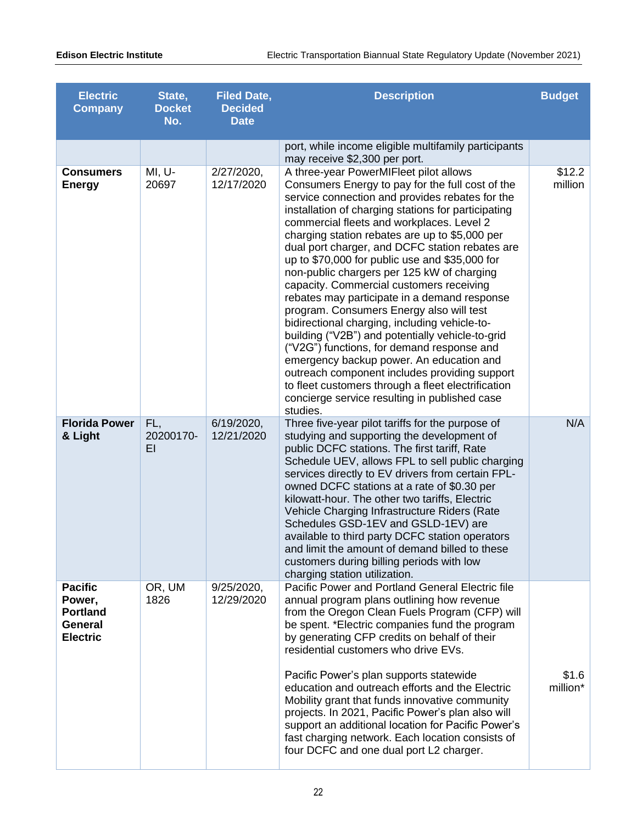| <b>Electric</b><br><b>Company</b>                                         | State,<br><b>Docket</b><br>No. | <b>Filed Date,</b><br><b>Decided</b><br><b>Date</b> | <b>Description</b>                                                                                                                                                                                                                                                                                                                                                                                                                                                                                                                                                                                                                                                                                                                                                                                                                                                                                                                                                | <b>Budget</b>     |
|---------------------------------------------------------------------------|--------------------------------|-----------------------------------------------------|-------------------------------------------------------------------------------------------------------------------------------------------------------------------------------------------------------------------------------------------------------------------------------------------------------------------------------------------------------------------------------------------------------------------------------------------------------------------------------------------------------------------------------------------------------------------------------------------------------------------------------------------------------------------------------------------------------------------------------------------------------------------------------------------------------------------------------------------------------------------------------------------------------------------------------------------------------------------|-------------------|
|                                                                           |                                |                                                     | port, while income eligible multifamily participants<br>may receive \$2,300 per port.                                                                                                                                                                                                                                                                                                                                                                                                                                                                                                                                                                                                                                                                                                                                                                                                                                                                             |                   |
| <b>Consumers</b><br><b>Energy</b>                                         | MI, U-<br>20697                | 2/27/2020,<br>12/17/2020                            | A three-year PowerMIFleet pilot allows<br>Consumers Energy to pay for the full cost of the<br>service connection and provides rebates for the<br>installation of charging stations for participating<br>commercial fleets and workplaces. Level 2<br>charging station rebates are up to \$5,000 per<br>dual port charger, and DCFC station rebates are<br>up to \$70,000 for public use and \$35,000 for<br>non-public chargers per 125 kW of charging<br>capacity. Commercial customers receiving<br>rebates may participate in a demand response<br>program. Consumers Energy also will test<br>bidirectional charging, including vehicle-to-<br>building ("V2B") and potentially vehicle-to-grid<br>("V2G") functions, for demand response and<br>emergency backup power. An education and<br>outreach component includes providing support<br>to fleet customers through a fleet electrification<br>concierge service resulting in published case<br>studies. | \$12.2<br>million |
| <b>Florida Power</b><br>& Light                                           | FL,<br>20200170-<br>ΕI         | 6/19/2020,<br>12/21/2020                            | Three five-year pilot tariffs for the purpose of<br>studying and supporting the development of<br>public DCFC stations. The first tariff, Rate<br>Schedule UEV, allows FPL to sell public charging<br>services directly to EV drivers from certain FPL-<br>owned DCFC stations at a rate of \$0.30 per<br>kilowatt-hour. The other two tariffs, Electric<br>Vehicle Charging Infrastructure Riders (Rate<br>Schedules GSD-1EV and GSLD-1EV) are<br>available to third party DCFC station operators<br>and limit the amount of demand billed to these<br>customers during billing periods with low<br>charging station utilization.                                                                                                                                                                                                                                                                                                                                | N/A               |
| <b>Pacific</b><br>Power,<br><b>Portland</b><br>General<br><b>Electric</b> | OR, UM<br>1826                 | 9/25/2020,<br>12/29/2020                            | Pacific Power and Portland General Electric file<br>annual program plans outlining how revenue<br>from the Oregon Clean Fuels Program (CFP) will<br>be spent. *Electric companies fund the program<br>by generating CFP credits on behalf of their<br>residential customers who drive EVs.<br>Pacific Power's plan supports statewide<br>education and outreach efforts and the Electric<br>Mobility grant that funds innovative community<br>projects. In 2021, Pacific Power's plan also will<br>support an additional location for Pacific Power's<br>fast charging network. Each location consists of<br>four DCFC and one dual port L2 charger.                                                                                                                                                                                                                                                                                                              | \$1.6<br>million* |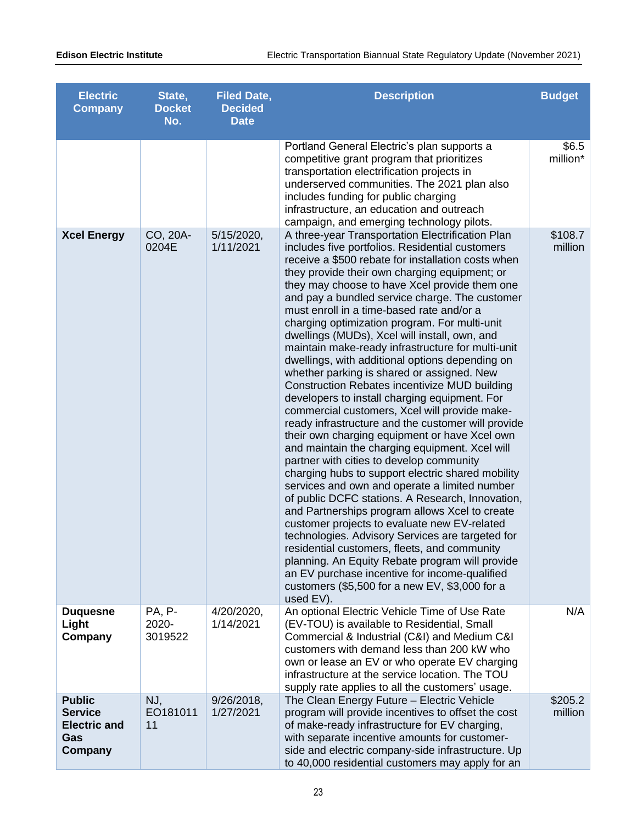| <b>Electric</b><br><b>Company</b>                                        | State,<br><b>Docket</b><br>No. | <b>Filed Date,</b><br><b>Decided</b><br><b>Date</b> | <b>Description</b>                                                                                                                                                                                                                                                                                                                                                                                                                                                                                                                                                                                                                                                                                                                                                                                                                                                                                                                                                                                                                                                                                                                                                                                                                                                                                                                                                                                                                                                                                                | <b>Budget</b>      |
|--------------------------------------------------------------------------|--------------------------------|-----------------------------------------------------|-------------------------------------------------------------------------------------------------------------------------------------------------------------------------------------------------------------------------------------------------------------------------------------------------------------------------------------------------------------------------------------------------------------------------------------------------------------------------------------------------------------------------------------------------------------------------------------------------------------------------------------------------------------------------------------------------------------------------------------------------------------------------------------------------------------------------------------------------------------------------------------------------------------------------------------------------------------------------------------------------------------------------------------------------------------------------------------------------------------------------------------------------------------------------------------------------------------------------------------------------------------------------------------------------------------------------------------------------------------------------------------------------------------------------------------------------------------------------------------------------------------------|--------------------|
|                                                                          |                                |                                                     | Portland General Electric's plan supports a<br>competitive grant program that prioritizes<br>transportation electrification projects in<br>underserved communities. The 2021 plan also<br>includes funding for public charging<br>infrastructure, an education and outreach<br>campaign, and emerging technology pilots.                                                                                                                                                                                                                                                                                                                                                                                                                                                                                                                                                                                                                                                                                                                                                                                                                                                                                                                                                                                                                                                                                                                                                                                          | \$6.5<br>million*  |
| <b>Xcel Energy</b>                                                       | CO, 20A-<br>0204E              | 5/15/2020,<br>1/11/2021                             | A three-year Transportation Electrification Plan<br>includes five portfolios. Residential customers<br>receive a \$500 rebate for installation costs when<br>they provide their own charging equipment; or<br>they may choose to have Xcel provide them one<br>and pay a bundled service charge. The customer<br>must enroll in a time-based rate and/or a<br>charging optimization program. For multi-unit<br>dwellings (MUDs), Xcel will install, own, and<br>maintain make-ready infrastructure for multi-unit<br>dwellings, with additional options depending on<br>whether parking is shared or assigned. New<br>Construction Rebates incentivize MUD building<br>developers to install charging equipment. For<br>commercial customers, Xcel will provide make-<br>ready infrastructure and the customer will provide<br>their own charging equipment or have Xcel own<br>and maintain the charging equipment. Xcel will<br>partner with cities to develop community<br>charging hubs to support electric shared mobility<br>services and own and operate a limited number<br>of public DCFC stations. A Research, Innovation,<br>and Partnerships program allows Xcel to create<br>customer projects to evaluate new EV-related<br>technologies. Advisory Services are targeted for<br>residential customers, fleets, and community<br>planning. An Equity Rebate program will provide<br>an EV purchase incentive for income-qualified<br>customers $(\$5,500$ for a new EV, $\$3,000$ for a<br>used EV). | \$108.7<br>million |
| <b>Duquesne</b><br>Light<br>Company                                      | PA, P-<br>2020-<br>3019522     | 4/20/2020,<br>1/14/2021                             | An optional Electric Vehicle Time of Use Rate<br>(EV-TOU) is available to Residential, Small<br>Commercial & Industrial (C&I) and Medium C&I<br>customers with demand less than 200 kW who<br>own or lease an EV or who operate EV charging<br>infrastructure at the service location. The TOU<br>supply rate applies to all the customers' usage.                                                                                                                                                                                                                                                                                                                                                                                                                                                                                                                                                                                                                                                                                                                                                                                                                                                                                                                                                                                                                                                                                                                                                                | N/A                |
| <b>Public</b><br><b>Service</b><br><b>Electric and</b><br>Gas<br>Company | NJ,<br>EO181011<br>11          | $9/26/2018$ ,<br>1/27/2021                          | The Clean Energy Future - Electric Vehicle<br>program will provide incentives to offset the cost<br>of make-ready infrastructure for EV charging,<br>with separate incentive amounts for customer-<br>side and electric company-side infrastructure. Up<br>to 40,000 residential customers may apply for an                                                                                                                                                                                                                                                                                                                                                                                                                                                                                                                                                                                                                                                                                                                                                                                                                                                                                                                                                                                                                                                                                                                                                                                                       | \$205.2<br>million |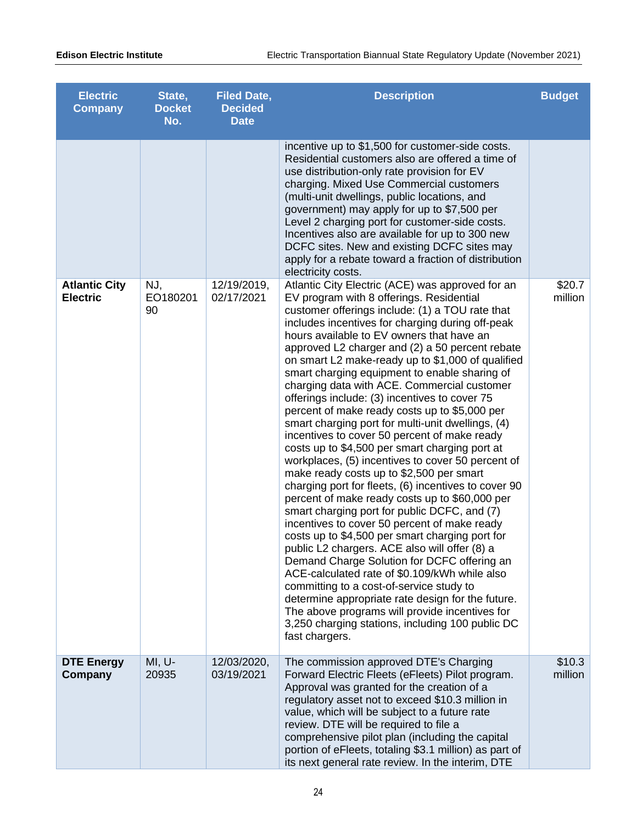| <b>Electric</b><br><b>Company</b>       | State,<br><b>Docket</b><br>No. | <b>Filed Date,</b><br><b>Decided</b><br><b>Date</b> | <b>Description</b>                                                                                                                                                                                                                                                                                                                                                                                                                                                                                                                                                                                                                                                                                                                                                                                                                                                                                                                                                                                                                                                                                                                                                                                                                                                                                                                                                                                                                                        | <b>Budget</b>     |
|-----------------------------------------|--------------------------------|-----------------------------------------------------|-----------------------------------------------------------------------------------------------------------------------------------------------------------------------------------------------------------------------------------------------------------------------------------------------------------------------------------------------------------------------------------------------------------------------------------------------------------------------------------------------------------------------------------------------------------------------------------------------------------------------------------------------------------------------------------------------------------------------------------------------------------------------------------------------------------------------------------------------------------------------------------------------------------------------------------------------------------------------------------------------------------------------------------------------------------------------------------------------------------------------------------------------------------------------------------------------------------------------------------------------------------------------------------------------------------------------------------------------------------------------------------------------------------------------------------------------------------|-------------------|
|                                         |                                |                                                     | incentive up to \$1,500 for customer-side costs.<br>Residential customers also are offered a time of<br>use distribution-only rate provision for EV<br>charging. Mixed Use Commercial customers<br>(multi-unit dwellings, public locations, and<br>government) may apply for up to \$7,500 per<br>Level 2 charging port for customer-side costs.<br>Incentives also are available for up to 300 new<br>DCFC sites. New and existing DCFC sites may<br>apply for a rebate toward a fraction of distribution<br>electricity costs.                                                                                                                                                                                                                                                                                                                                                                                                                                                                                                                                                                                                                                                                                                                                                                                                                                                                                                                          |                   |
| <b>Atlantic City</b><br><b>Electric</b> | NJ,<br>EO180201<br>90          | 12/19/2019,<br>02/17/2021                           | Atlantic City Electric (ACE) was approved for an<br>EV program with 8 offerings. Residential<br>customer offerings include: (1) a TOU rate that<br>includes incentives for charging during off-peak<br>hours available to EV owners that have an<br>approved L2 charger and (2) a 50 percent rebate<br>on smart L2 make-ready up to \$1,000 of qualified<br>smart charging equipment to enable sharing of<br>charging data with ACE. Commercial customer<br>offerings include: (3) incentives to cover 75<br>percent of make ready costs up to \$5,000 per<br>smart charging port for multi-unit dwellings, (4)<br>incentives to cover 50 percent of make ready<br>costs up to \$4,500 per smart charging port at<br>workplaces, (5) incentives to cover 50 percent of<br>make ready costs up to \$2,500 per smart<br>charging port for fleets, (6) incentives to cover 90<br>percent of make ready costs up to \$60,000 per<br>smart charging port for public DCFC, and (7)<br>incentives to cover 50 percent of make ready<br>costs up to \$4,500 per smart charging port for<br>public L2 chargers. ACE also will offer (8) a<br>Demand Charge Solution for DCFC offering an<br>ACE-calculated rate of \$0.109/kWh while also<br>committing to a cost-of-service study to<br>determine appropriate rate design for the future.<br>The above programs will provide incentives for<br>3,250 charging stations, including 100 public DC<br>fast chargers. | \$20.7<br>million |
| <b>DTE Energy</b><br>Company            | MI, U-<br>20935                | 12/03/2020,<br>03/19/2021                           | The commission approved DTE's Charging<br>Forward Electric Fleets (eFleets) Pilot program.<br>Approval was granted for the creation of a<br>regulatory asset not to exceed \$10.3 million in<br>value, which will be subject to a future rate<br>review. DTE will be required to file a<br>comprehensive pilot plan (including the capital<br>portion of eFleets, totaling \$3.1 million) as part of<br>its next general rate review. In the interim, DTE                                                                                                                                                                                                                                                                                                                                                                                                                                                                                                                                                                                                                                                                                                                                                                                                                                                                                                                                                                                                 | \$10.3<br>million |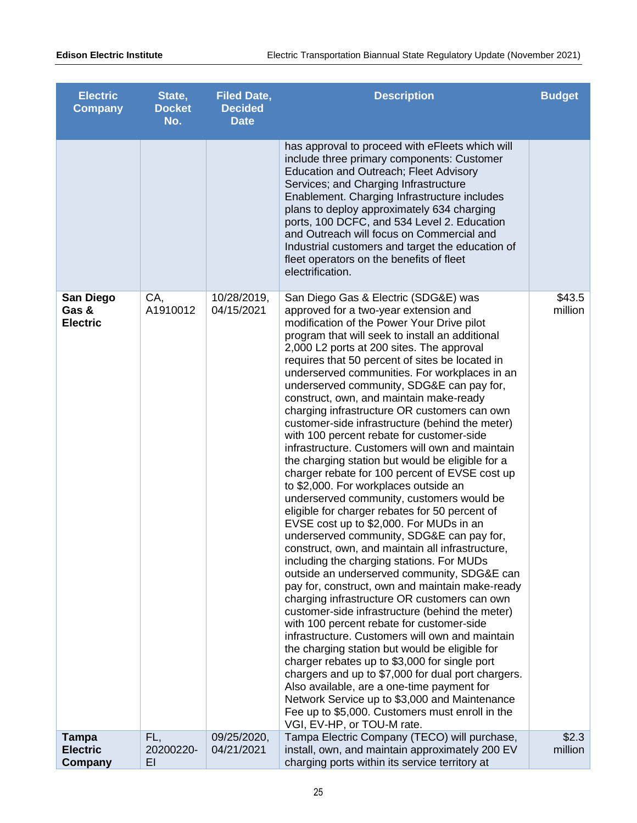| <b>Electric</b><br><b>Company</b>            | State,<br><b>Docket</b><br>No. | <b>Filed Date,</b><br><b>Decided</b><br><b>Date</b> | <b>Description</b>                                                                                                                                                                                                                                                                                                                                                                                                                                                                                                                                                                                                                                                                                                                                                                                                                                                                                                                                                                                                                                                                                                                                                                                                                                                                                                                                                                                                                                                                                                                                                                                                                                                                                              | <b>Budget</b>     |
|----------------------------------------------|--------------------------------|-----------------------------------------------------|-----------------------------------------------------------------------------------------------------------------------------------------------------------------------------------------------------------------------------------------------------------------------------------------------------------------------------------------------------------------------------------------------------------------------------------------------------------------------------------------------------------------------------------------------------------------------------------------------------------------------------------------------------------------------------------------------------------------------------------------------------------------------------------------------------------------------------------------------------------------------------------------------------------------------------------------------------------------------------------------------------------------------------------------------------------------------------------------------------------------------------------------------------------------------------------------------------------------------------------------------------------------------------------------------------------------------------------------------------------------------------------------------------------------------------------------------------------------------------------------------------------------------------------------------------------------------------------------------------------------------------------------------------------------------------------------------------------------|-------------------|
|                                              |                                |                                                     | has approval to proceed with eFleets which will<br>include three primary components: Customer<br>Education and Outreach; Fleet Advisory<br>Services; and Charging Infrastructure<br>Enablement. Charging Infrastructure includes<br>plans to deploy approximately 634 charging<br>ports, 100 DCFC, and 534 Level 2. Education<br>and Outreach will focus on Commercial and<br>Industrial customers and target the education of<br>fleet operators on the benefits of fleet<br>electrification.                                                                                                                                                                                                                                                                                                                                                                                                                                                                                                                                                                                                                                                                                                                                                                                                                                                                                                                                                                                                                                                                                                                                                                                                                  |                   |
| <b>San Diego</b><br>Gas &<br><b>Electric</b> | CA,<br>A1910012                | 10/28/2019,<br>04/15/2021                           | San Diego Gas & Electric (SDG&E) was<br>approved for a two-year extension and<br>modification of the Power Your Drive pilot<br>program that will seek to install an additional<br>2,000 L2 ports at 200 sites. The approval<br>requires that 50 percent of sites be located in<br>underserved communities. For workplaces in an<br>underserved community, SDG&E can pay for,<br>construct, own, and maintain make-ready<br>charging infrastructure OR customers can own<br>customer-side infrastructure (behind the meter)<br>with 100 percent rebate for customer-side<br>infrastructure. Customers will own and maintain<br>the charging station but would be eligible for a<br>charger rebate for 100 percent of EVSE cost up<br>to \$2,000. For workplaces outside an<br>underserved community, customers would be<br>eligible for charger rebates for 50 percent of<br>EVSE cost up to \$2,000. For MUDs in an<br>underserved community, SDG&E can pay for,<br>construct, own, and maintain all infrastructure,<br>including the charging stations. For MUDs<br>outside an underserved community, SDG&E can<br>pay for, construct, own and maintain make-ready<br>charging infrastructure OR customers can own<br>customer-side infrastructure (behind the meter)<br>with 100 percent rebate for customer-side<br>infrastructure. Customers will own and maintain<br>the charging station but would be eligible for<br>charger rebates up to \$3,000 for single port<br>chargers and up to \$7,000 for dual port chargers.<br>Also available, are a one-time payment for<br>Network Service up to \$3,000 and Maintenance<br>Fee up to \$5,000. Customers must enroll in the<br>VGI, EV-HP, or TOU-M rate. | \$43.5<br>million |
| <b>Tampa</b><br><b>Electric</b><br>Company   | FL,<br>20200220-<br>EI         | 09/25/2020,<br>04/21/2021                           | Tampa Electric Company (TECO) will purchase,<br>install, own, and maintain approximately 200 EV<br>charging ports within its service territory at                                                                                                                                                                                                                                                                                                                                                                                                                                                                                                                                                                                                                                                                                                                                                                                                                                                                                                                                                                                                                                                                                                                                                                                                                                                                                                                                                                                                                                                                                                                                                               | \$2.3<br>million  |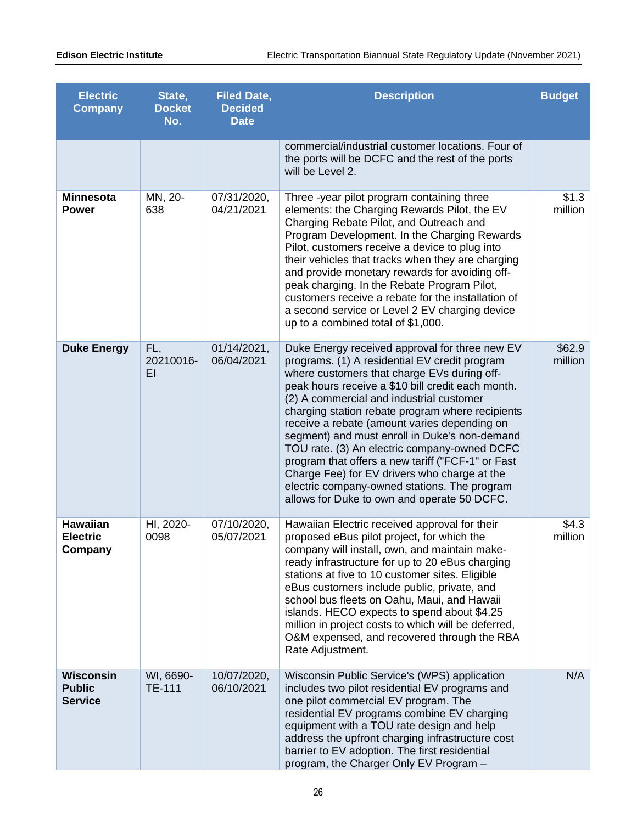| <b>Electric</b><br><b>Company</b>             | State,<br><b>Docket</b><br>No. | <b>Filed Date,</b><br><b>Decided</b><br><b>Date</b> | <b>Description</b>                                                                                                                                                                                                                                                                                                                                                                                                                                                                                                                                                                                                                                       | <b>Budget</b>     |
|-----------------------------------------------|--------------------------------|-----------------------------------------------------|----------------------------------------------------------------------------------------------------------------------------------------------------------------------------------------------------------------------------------------------------------------------------------------------------------------------------------------------------------------------------------------------------------------------------------------------------------------------------------------------------------------------------------------------------------------------------------------------------------------------------------------------------------|-------------------|
|                                               |                                |                                                     | commercial/industrial customer locations. Four of<br>the ports will be DCFC and the rest of the ports<br>will be Level 2.                                                                                                                                                                                                                                                                                                                                                                                                                                                                                                                                |                   |
| <b>Minnesota</b><br><b>Power</b>              | MN, 20-<br>638                 | 07/31/2020,<br>04/21/2021                           | Three -year pilot program containing three<br>elements: the Charging Rewards Pilot, the EV<br>Charging Rebate Pilot, and Outreach and<br>Program Development. In the Charging Rewards<br>Pilot, customers receive a device to plug into<br>their vehicles that tracks when they are charging<br>and provide monetary rewards for avoiding off-<br>peak charging. In the Rebate Program Pilot,<br>customers receive a rebate for the installation of<br>a second service or Level 2 EV charging device<br>up to a combined total of \$1,000.                                                                                                              | \$1.3<br>million  |
| <b>Duke Energy</b>                            | FL,<br>20210016-<br>EI         | 01/14/2021,<br>06/04/2021                           | Duke Energy received approval for three new EV<br>programs. (1) A residential EV credit program<br>where customers that charge EVs during off-<br>peak hours receive a \$10 bill credit each month.<br>(2) A commercial and industrial customer<br>charging station rebate program where recipients<br>receive a rebate (amount varies depending on<br>segment) and must enroll in Duke's non-demand<br>TOU rate. (3) An electric company-owned DCFC<br>program that offers a new tariff ("FCF-1" or Fast<br>Charge Fee) for EV drivers who charge at the<br>electric company-owned stations. The program<br>allows for Duke to own and operate 50 DCFC. | \$62.9<br>million |
| <b>Hawaiian</b><br><b>Electric</b><br>Company | HI, 2020-<br>0098              | 07/10/2020,<br>05/07/2021                           | Hawaiian Electric received approval for their<br>proposed eBus pilot project, for which the<br>company will install, own, and maintain make-<br>ready infrastructure for up to 20 eBus charging<br>stations at five to 10 customer sites. Eligible<br>eBus customers include public, private, and<br>school bus fleets on Oahu, Maui, and Hawaii<br>islands. HECO expects to spend about \$4.25<br>million in project costs to which will be deferred,<br>O&M expensed, and recovered through the RBA<br>Rate Adjustment.                                                                                                                                | \$4.3<br>million  |
| Wisconsin<br><b>Public</b><br><b>Service</b>  | WI, 6690-<br><b>TE-111</b>     | 10/07/2020,<br>06/10/2021                           | Wisconsin Public Service's (WPS) application<br>includes two pilot residential EV programs and<br>one pilot commercial EV program. The<br>residential EV programs combine EV charging<br>equipment with a TOU rate design and help<br>address the upfront charging infrastructure cost<br>barrier to EV adoption. The first residential<br>program, the Charger Only EV Program -                                                                                                                                                                                                                                                                        | N/A               |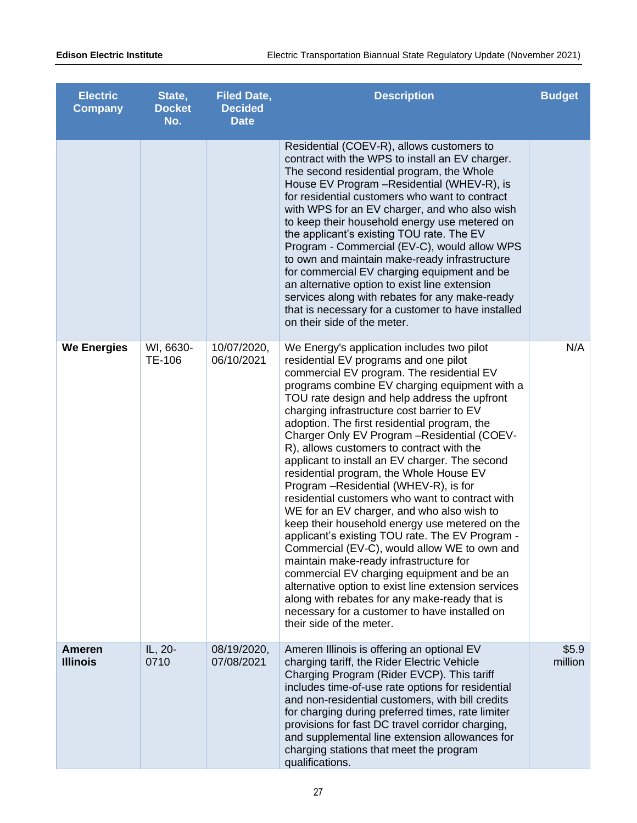| <b>Electric</b><br><b>Company</b> | State,<br><b>Docket</b><br>No. | <b>Filed Date,</b><br><b>Decided</b><br><b>Date</b> | <b>Description</b>                                                                                                                                                                                                                                                                                                                                                                                                                                                                                                                                                                                                                                                                                                                                                                                                                                                                                                                                                                                                                                                                                     | <b>Budget</b>    |
|-----------------------------------|--------------------------------|-----------------------------------------------------|--------------------------------------------------------------------------------------------------------------------------------------------------------------------------------------------------------------------------------------------------------------------------------------------------------------------------------------------------------------------------------------------------------------------------------------------------------------------------------------------------------------------------------------------------------------------------------------------------------------------------------------------------------------------------------------------------------------------------------------------------------------------------------------------------------------------------------------------------------------------------------------------------------------------------------------------------------------------------------------------------------------------------------------------------------------------------------------------------------|------------------|
|                                   |                                |                                                     | Residential (COEV-R), allows customers to<br>contract with the WPS to install an EV charger.<br>The second residential program, the Whole<br>House EV Program - Residential (WHEV-R), is<br>for residential customers who want to contract<br>with WPS for an EV charger, and who also wish<br>to keep their household energy use metered on<br>the applicant's existing TOU rate. The EV<br>Program - Commercial (EV-C), would allow WPS<br>to own and maintain make-ready infrastructure<br>for commercial EV charging equipment and be<br>an alternative option to exist line extension<br>services along with rebates for any make-ready<br>that is necessary for a customer to have installed<br>on their side of the meter.                                                                                                                                                                                                                                                                                                                                                                      |                  |
| <b>We Energies</b>                | WI, 6630-<br>TE-106            | 10/07/2020,<br>06/10/2021                           | We Energy's application includes two pilot<br>residential EV programs and one pilot<br>commercial EV program. The residential EV<br>programs combine EV charging equipment with a<br>TOU rate design and help address the upfront<br>charging infrastructure cost barrier to EV<br>adoption. The first residential program, the<br>Charger Only EV Program - Residential (COEV-<br>R), allows customers to contract with the<br>applicant to install an EV charger. The second<br>residential program, the Whole House EV<br>Program - Residential (WHEV-R), is for<br>residential customers who want to contract with<br>WE for an EV charger, and who also wish to<br>keep their household energy use metered on the<br>applicant's existing TOU rate. The EV Program -<br>Commercial (EV-C), would allow WE to own and<br>maintain make-ready infrastructure for<br>commercial EV charging equipment and be an<br>alternative option to exist line extension services<br>along with rebates for any make-ready that is<br>necessary for a customer to have installed on<br>their side of the meter. | N/A              |
| Ameren<br><b>Illinois</b>         | IL, 20-<br>0710                | 08/19/2020,<br>07/08/2021                           | Ameren Illinois is offering an optional EV<br>charging tariff, the Rider Electric Vehicle<br>Charging Program (Rider EVCP). This tariff<br>includes time-of-use rate options for residential<br>and non-residential customers, with bill credits<br>for charging during preferred times, rate limiter<br>provisions for fast DC travel corridor charging,<br>and supplemental line extension allowances for<br>charging stations that meet the program<br>qualifications.                                                                                                                                                                                                                                                                                                                                                                                                                                                                                                                                                                                                                              | \$5.9<br>million |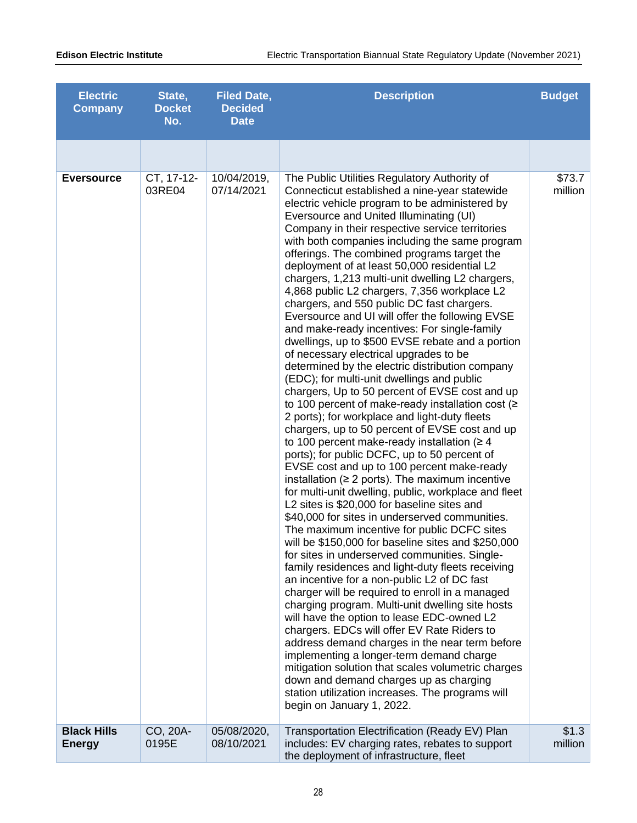| <b>Electric</b><br><b>Company</b>   | State,<br><b>Docket</b><br>No. | <b>Filed Date,</b><br><b>Decided</b><br><b>Date</b> | <b>Description</b>                                                                                                                                                                                                                                                                                                                                                                                                                                                                                                                                                                                                                                                                                                                                                                                                                                                                                                                                                                                                                                                                                                                                                                                                                                                                                                                                                                                                                                                                                                                                                                                                                                                                                                                                                                                                                                                                                                                                                                                                                                                                                                                                                                    | <b>Budget</b>     |
|-------------------------------------|--------------------------------|-----------------------------------------------------|---------------------------------------------------------------------------------------------------------------------------------------------------------------------------------------------------------------------------------------------------------------------------------------------------------------------------------------------------------------------------------------------------------------------------------------------------------------------------------------------------------------------------------------------------------------------------------------------------------------------------------------------------------------------------------------------------------------------------------------------------------------------------------------------------------------------------------------------------------------------------------------------------------------------------------------------------------------------------------------------------------------------------------------------------------------------------------------------------------------------------------------------------------------------------------------------------------------------------------------------------------------------------------------------------------------------------------------------------------------------------------------------------------------------------------------------------------------------------------------------------------------------------------------------------------------------------------------------------------------------------------------------------------------------------------------------------------------------------------------------------------------------------------------------------------------------------------------------------------------------------------------------------------------------------------------------------------------------------------------------------------------------------------------------------------------------------------------------------------------------------------------------------------------------------------------|-------------------|
|                                     |                                |                                                     |                                                                                                                                                                                                                                                                                                                                                                                                                                                                                                                                                                                                                                                                                                                                                                                                                                                                                                                                                                                                                                                                                                                                                                                                                                                                                                                                                                                                                                                                                                                                                                                                                                                                                                                                                                                                                                                                                                                                                                                                                                                                                                                                                                                       |                   |
| <b>Eversource</b>                   | CT, 17-12-<br>03RE04           | 10/04/2019,<br>07/14/2021                           | The Public Utilities Regulatory Authority of<br>Connecticut established a nine-year statewide<br>electric vehicle program to be administered by<br>Eversource and United Illuminating (UI)<br>Company in their respective service territories<br>with both companies including the same program<br>offerings. The combined programs target the<br>deployment of at least 50,000 residential L2<br>chargers, 1,213 multi-unit dwelling L2 chargers,<br>4,868 public L2 chargers, 7,356 workplace L2<br>chargers, and 550 public DC fast chargers.<br>Eversource and UI will offer the following EVSE<br>and make-ready incentives: For single-family<br>dwellings, up to \$500 EVSE rebate and a portion<br>of necessary electrical upgrades to be<br>determined by the electric distribution company<br>(EDC); for multi-unit dwellings and public<br>chargers, Up to 50 percent of EVSE cost and up<br>to 100 percent of make-ready installation cost ( $\ge$<br>2 ports); for workplace and light-duty fleets<br>chargers, up to 50 percent of EVSE cost and up<br>to 100 percent make-ready installation ( $\geq 4$ )<br>ports); for public DCFC, up to 50 percent of<br>EVSE cost and up to 100 percent make-ready<br>installation ( $\geq 2$ ports). The maximum incentive<br>for multi-unit dwelling, public, workplace and fleet<br>L2 sites is \$20,000 for baseline sites and<br>\$40,000 for sites in underserved communities.<br>The maximum incentive for public DCFC sites<br>will be \$150,000 for baseline sites and \$250,000<br>for sites in underserved communities. Single-<br>family residences and light-duty fleets receiving<br>an incentive for a non-public L2 of DC fast<br>charger will be required to enroll in a managed<br>charging program. Multi-unit dwelling site hosts<br>will have the option to lease EDC-owned L2<br>chargers. EDCs will offer EV Rate Riders to<br>address demand charges in the near term before<br>implementing a longer-term demand charge<br>mitigation solution that scales volumetric charges<br>down and demand charges up as charging<br>station utilization increases. The programs will<br>begin on January 1, 2022. | \$73.7<br>million |
| <b>Black Hills</b><br><b>Energy</b> | CO, 20A-<br>0195E              | 05/08/2020,<br>08/10/2021                           | Transportation Electrification (Ready EV) Plan<br>includes: EV charging rates, rebates to support<br>the deployment of infrastructure, fleet                                                                                                                                                                                                                                                                                                                                                                                                                                                                                                                                                                                                                                                                                                                                                                                                                                                                                                                                                                                                                                                                                                                                                                                                                                                                                                                                                                                                                                                                                                                                                                                                                                                                                                                                                                                                                                                                                                                                                                                                                                          | \$1.3<br>million  |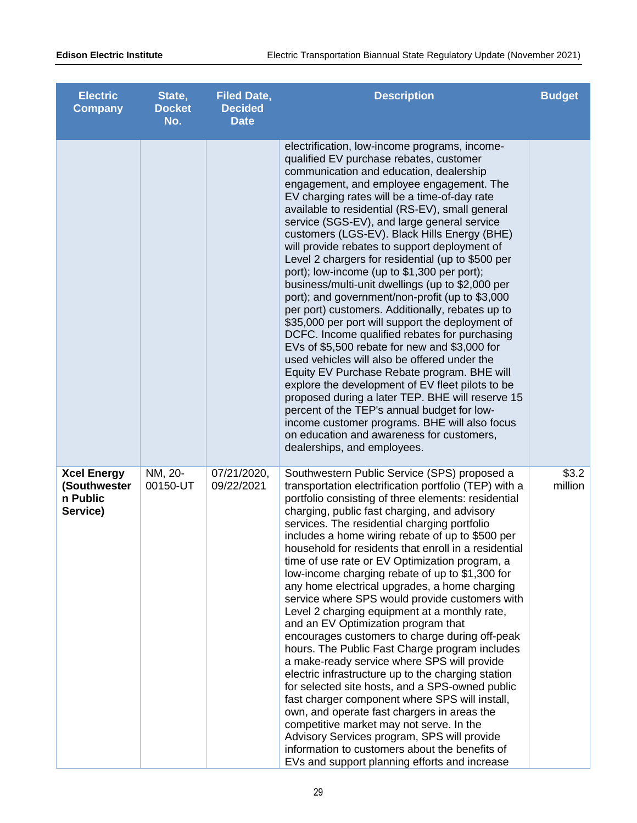| <b>Electric</b><br><b>Company</b>                          | State,<br><b>Docket</b><br>No. | <b>Filed Date,</b><br><b>Decided</b><br><b>Date</b> | <b>Description</b>                                                                                                                                                                                                                                                                                                                                                                                                                                                                                                                                                                                                                                                                                                                                                                                                                                                                                                                                                                                                                                                                                                                                                                                                                         | <b>Budget</b>    |
|------------------------------------------------------------|--------------------------------|-----------------------------------------------------|--------------------------------------------------------------------------------------------------------------------------------------------------------------------------------------------------------------------------------------------------------------------------------------------------------------------------------------------------------------------------------------------------------------------------------------------------------------------------------------------------------------------------------------------------------------------------------------------------------------------------------------------------------------------------------------------------------------------------------------------------------------------------------------------------------------------------------------------------------------------------------------------------------------------------------------------------------------------------------------------------------------------------------------------------------------------------------------------------------------------------------------------------------------------------------------------------------------------------------------------|------------------|
|                                                            |                                |                                                     | electrification, low-income programs, income-<br>qualified EV purchase rebates, customer<br>communication and education, dealership<br>engagement, and employee engagement. The<br>EV charging rates will be a time-of-day rate<br>available to residential (RS-EV), small general<br>service (SGS-EV), and large general service<br>customers (LGS-EV). Black Hills Energy (BHE)<br>will provide rebates to support deployment of<br>Level 2 chargers for residential (up to \$500 per<br>port); low-income (up to \$1,300 per port);<br>business/multi-unit dwellings (up to \$2,000 per<br>port); and government/non-profit (up to \$3,000<br>per port) customers. Additionally, rebates up to<br>\$35,000 per port will support the deployment of<br>DCFC. Income qualified rebates for purchasing<br>EVs of \$5,500 rebate for new and \$3,000 for<br>used vehicles will also be offered under the<br>Equity EV Purchase Rebate program. BHE will<br>explore the development of EV fleet pilots to be<br>proposed during a later TEP. BHE will reserve 15<br>percent of the TEP's annual budget for low-<br>income customer programs. BHE will also focus<br>on education and awareness for customers,<br>dealerships, and employees. |                  |
| <b>Xcel Energy</b><br>(Southwester<br>n Public<br>Service) | NM, 20-<br>00150-UT            | 07/21/2020,<br>09/22/2021                           | Southwestern Public Service (SPS) proposed a<br>transportation electrification portfolio (TEP) with a<br>portfolio consisting of three elements: residential<br>charging, public fast charging, and advisory<br>services. The residential charging portfolio<br>includes a home wiring rebate of up to \$500 per<br>household for residents that enroll in a residential<br>time of use rate or EV Optimization program, a<br>low-income charging rebate of up to \$1,300 for<br>any home electrical upgrades, a home charging<br>service where SPS would provide customers with<br>Level 2 charging equipment at a monthly rate,<br>and an EV Optimization program that<br>encourages customers to charge during off-peak<br>hours. The Public Fast Charge program includes<br>a make-ready service where SPS will provide<br>electric infrastructure up to the charging station<br>for selected site hosts, and a SPS-owned public<br>fast charger component where SPS will install,<br>own, and operate fast chargers in areas the<br>competitive market may not serve. In the<br>Advisory Services program, SPS will provide<br>information to customers about the benefits of<br>EVs and support planning efforts and increase        | \$3.2<br>million |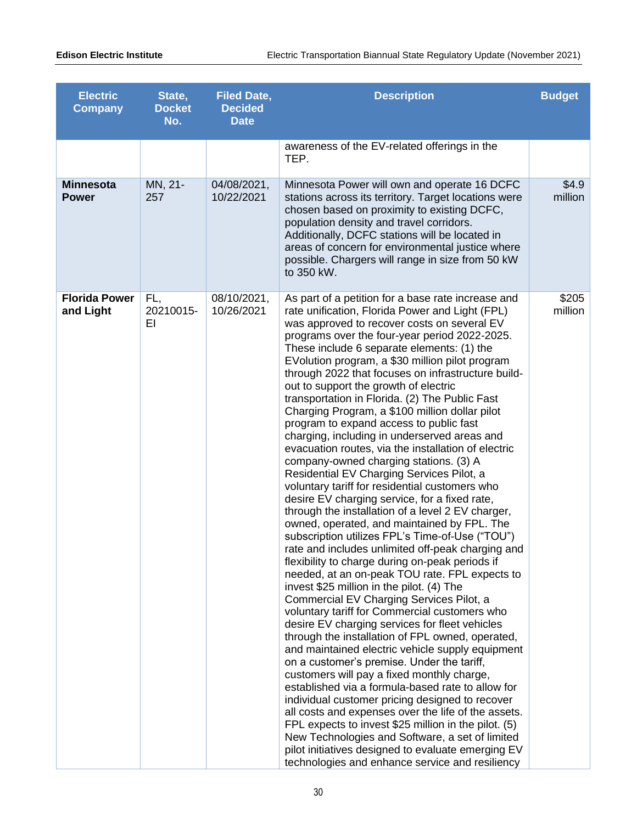| <b>Electric</b><br><b>Company</b> | State,<br><b>Docket</b><br>No. | <b>Filed Date,</b><br><b>Decided</b><br><b>Date</b> | <b>Description</b>                                                                                                                                                                                                                                                                                                                                                                                                                                                                                                                                                                                                                                                                                                                                                                                                                                                                                                                                                                                                                                                                                                                                                                                                                                                                                                                                                                                                                                                                                                                                                                                                                                                                                                                                                                                                                                                                                                                                        | <b>Budget</b>    |
|-----------------------------------|--------------------------------|-----------------------------------------------------|-----------------------------------------------------------------------------------------------------------------------------------------------------------------------------------------------------------------------------------------------------------------------------------------------------------------------------------------------------------------------------------------------------------------------------------------------------------------------------------------------------------------------------------------------------------------------------------------------------------------------------------------------------------------------------------------------------------------------------------------------------------------------------------------------------------------------------------------------------------------------------------------------------------------------------------------------------------------------------------------------------------------------------------------------------------------------------------------------------------------------------------------------------------------------------------------------------------------------------------------------------------------------------------------------------------------------------------------------------------------------------------------------------------------------------------------------------------------------------------------------------------------------------------------------------------------------------------------------------------------------------------------------------------------------------------------------------------------------------------------------------------------------------------------------------------------------------------------------------------------------------------------------------------------------------------------------------------|------------------|
|                                   |                                |                                                     | awareness of the EV-related offerings in the<br>TEP.                                                                                                                                                                                                                                                                                                                                                                                                                                                                                                                                                                                                                                                                                                                                                                                                                                                                                                                                                                                                                                                                                                                                                                                                                                                                                                                                                                                                                                                                                                                                                                                                                                                                                                                                                                                                                                                                                                      |                  |
| <b>Minnesota</b><br><b>Power</b>  | MN, 21-<br>257                 | 04/08/2021,<br>10/22/2021                           | Minnesota Power will own and operate 16 DCFC<br>stations across its territory. Target locations were<br>chosen based on proximity to existing DCFC,<br>population density and travel corridors.<br>Additionally, DCFC stations will be located in<br>areas of concern for environmental justice where<br>possible. Chargers will range in size from 50 kW<br>to 350 kW.                                                                                                                                                                                                                                                                                                                                                                                                                                                                                                                                                                                                                                                                                                                                                                                                                                                                                                                                                                                                                                                                                                                                                                                                                                                                                                                                                                                                                                                                                                                                                                                   | \$4.9<br>million |
| <b>Florida Power</b><br>and Light | FL,<br>20210015-<br>ΕI         | 08/10/2021,<br>10/26/2021                           | As part of a petition for a base rate increase and<br>rate unification, Florida Power and Light (FPL)<br>was approved to recover costs on several EV<br>programs over the four-year period 2022-2025.<br>These include 6 separate elements: (1) the<br>EVolution program, a \$30 million pilot program<br>through 2022 that focuses on infrastructure build-<br>out to support the growth of electric<br>transportation in Florida. (2) The Public Fast<br>Charging Program, a \$100 million dollar pilot<br>program to expand access to public fast<br>charging, including in underserved areas and<br>evacuation routes, via the installation of electric<br>company-owned charging stations. (3) A<br>Residential EV Charging Services Pilot, a<br>voluntary tariff for residential customers who<br>desire EV charging service, for a fixed rate,<br>through the installation of a level 2 EV charger,<br>owned, operated, and maintained by FPL. The<br>subscription utilizes FPL's Time-of-Use ("TOU")<br>rate and includes unlimited off-peak charging and<br>flexibility to charge during on-peak periods if<br>needed, at an on-peak TOU rate. FPL expects to<br>invest \$25 million in the pilot. (4) The<br>Commercial EV Charging Services Pilot, a<br>voluntary tariff for Commercial customers who<br>desire EV charging services for fleet vehicles<br>through the installation of FPL owned, operated,<br>and maintained electric vehicle supply equipment<br>on a customer's premise. Under the tariff,<br>customers will pay a fixed monthly charge,<br>established via a formula-based rate to allow for<br>individual customer pricing designed to recover<br>all costs and expenses over the life of the assets.<br>FPL expects to invest \$25 million in the pilot. (5)<br>New Technologies and Software, a set of limited<br>pilot initiatives designed to evaluate emerging EV<br>technologies and enhance service and resiliency | \$205<br>million |